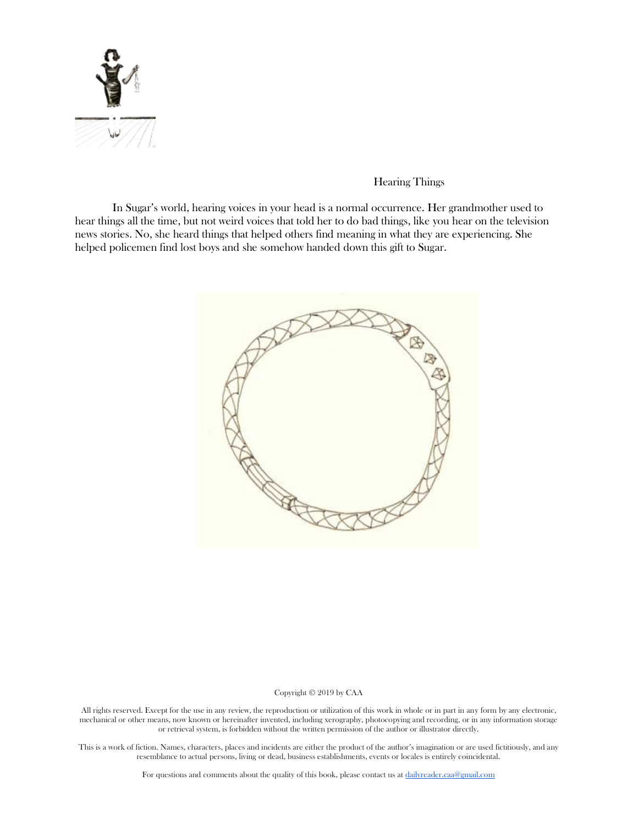

# Hearing Things

In Sugar's world, hearing voices in your head is a normal occurrence. Her grandmother used to hear things all the time, but not weird voices that told her to do bad things, like you hear on the television news stories. No, she heard things that helped others find meaning in what they are experiencing. She helped policemen find lost boys and she somehow handed down this gift to Sugar.



### Copyright © 2019 by CAA

All rights reserved. Except for the use in any review, the reproduction or utilization of this work in whole or in part in any form by any electronic, mechanical or other means, now known or hereinafter invented, including xerography, photocopying and recording, or in any information storage or retrieval system, is forbidden without the written permission of the author or illustrator directly.

This is a work of fiction. Names, characters, places and incidents are either the product of the author's imagination or are used fictitiously, and any resemblance to actual persons, living or dead, business establishments, events or locales is entirely coincidental.

For questions and comments about the quality of this book, please contact us at [dailyreader.caa@gmail.com](mailto:dailyreader.caa@gmail.com)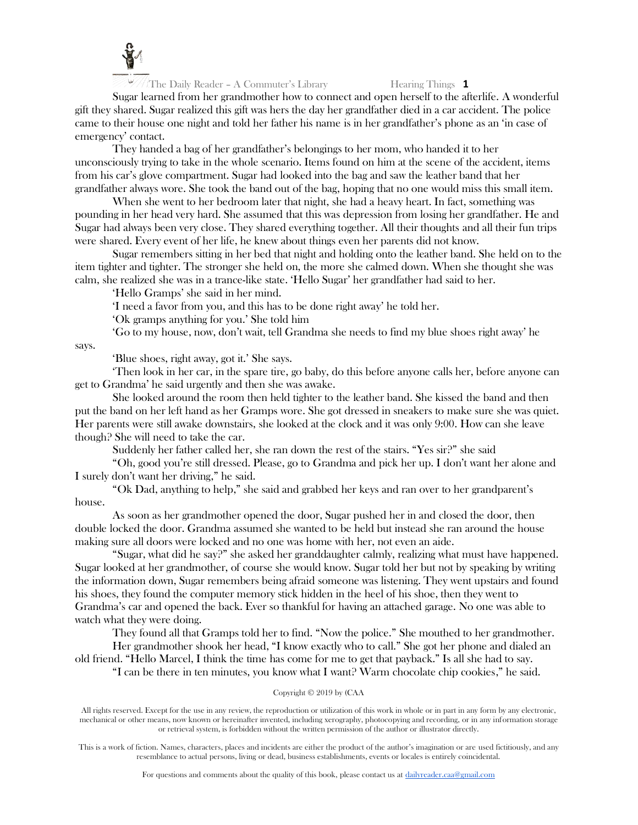

Sugar learned from her grandmother how to connect and open herself to the afterlife. A wonderful gift they shared. Sugar realized this gift was hers the day her grandfather died in a car accident. The police came to their house one night and told her father his name is in her grandfather's phone as an 'in case of emergency' contact.

They handed a bag of her grandfather's belongings to her mom, who handed it to her unconsciously trying to take in the whole scenario. Items found on him at the scene of the accident, items from his car's glove compartment. Sugar had looked into the bag and saw the leather band that her grandfather always wore. She took the band out of the bag, hoping that no one would miss this small item.

When she went to her bedroom later that night, she had a heavy heart. In fact, something was pounding in her head very hard. She assumed that this was depression from losing her grandfather. He and Sugar had always been very close. They shared everything together. All their thoughts and all their fun trips were shared. Every event of her life, he knew about things even her parents did not know.

Sugar remembers sitting in her bed that night and holding onto the leather band. She held on to the item tighter and tighter. The stronger she held on, the more she calmed down. When she thought she was calm, she realized she was in a trance-like state. 'Hello Sugar' her grandfather had said to her.

'Hello Gramps' she said in her mind.

'I need a favor from you, and this has to be done right away' he told her.

'Ok gramps anything for you.' She told him

'Go to my house, now, don't wait, tell Grandma she needs to find my blue shoes right away' he

says.

'Blue shoes, right away, got it.' She says.

'Then look in her car, in the spare tire, go baby, do this before anyone calls her, before anyone can get to Grandma' he said urgently and then she was awake.

She looked around the room then held tighter to the leather band. She kissed the band and then put the band on her left hand as her Gramps wore. She got dressed in sneakers to make sure she was quiet. Her parents were still awake downstairs, she looked at the clock and it was only 9:00. How can she leave though? She will need to take the car.

Suddenly her father called her, she ran down the rest of the stairs. "Yes sir?" she said

"Oh, good you're still dressed. Please, go to Grandma and pick her up. I don't want her alone and I surely don't want her driving," he said.

"Ok Dad, anything to help," she said and grabbed her keys and ran over to her grandparent's house.

As soon as her grandmother opened the door, Sugar pushed her in and closed the door, then double locked the door. Grandma assumed she wanted to be held but instead she ran around the house making sure all doors were locked and no one was home with her, not even an aide.

"Sugar, what did he say?" she asked her granddaughter calmly, realizing what must have happened. Sugar looked at her grandmother, of course she would know. Sugar told her but not by speaking by writing the information down, Sugar remembers being afraid someone was listening. They went upstairs and found his shoes, they found the computer memory stick hidden in the heel of his shoe, then they went to Grandma's car and opened the back. Ever so thankful for having an attached garage. No one was able to watch what they were doing.

They found all that Gramps told her to find. "Now the police." She mouthed to her grandmother. Her grandmother shook her head, "I know exactly who to call." She got her phone and dialed an

old friend. "Hello Marcel, I think the time has come for me to get that payback." Is all she had to say.

"I can be there in ten minutes, you know what I want? Warm chocolate chip cookies," he said.

# Copyright © 2019 by (CAA

All rights reserved. Except for the use in any review, the reproduction or utilization of this work in whole or in part in any form by any electronic, mechanical or other means, now known or hereinafter invented, including xerography, photocopying and recording, or in any information storage or retrieval system, is forbidden without the written permission of the author or illustrator directly.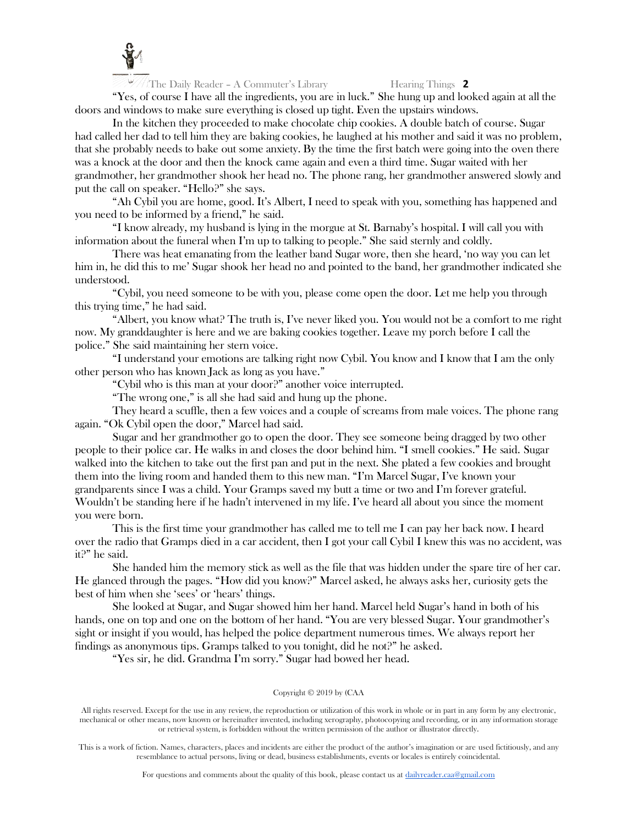

"Yes, of course I have all the ingredients, you are in luck." She hung up and looked again at all the doors and windows to make sure everything is closed up tight. Even the upstairs windows.

In the kitchen they proceeded to make chocolate chip cookies. A double batch of course. Sugar had called her dad to tell him they are baking cookies, he laughed at his mother and said it was no problem, that she probably needs to bake out some anxiety. By the time the first batch were going into the oven there was a knock at the door and then the knock came again and even a third time. Sugar waited with her grandmother, her grandmother shook her head no. The phone rang, her grandmother answered slowly and put the call on speaker. "Hello?" she says.

"Ah Cybil you are home, good. It's Albert, I need to speak with you, something has happened and you need to be informed by a friend," he said.

"I know already, my husband is lying in the morgue at St. Barnaby's hospital. I will call you with information about the funeral when I'm up to talking to people." She said sternly and coldly.

There was heat emanating from the leather band Sugar wore, then she heard, 'no way you can let him in, he did this to me' Sugar shook her head no and pointed to the band, her grandmother indicated she understood.

"Cybil, you need someone to be with you, please come open the door. Let me help you through this trying time," he had said.

"Albert, you know what? The truth is, I've never liked you. You would not be a comfort to me right now. My granddaughter is here and we are baking cookies together. Leave my porch before I call the police." She said maintaining her stern voice.

"I understand your emotions are talking right now Cybil. You know and I know that I am the only other person who has known Jack as long as you have."

"Cybil who is this man at your door?" another voice interrupted.

"The wrong one," is all she had said and hung up the phone.

They heard a scuffle, then a few voices and a couple of screams from male voices. The phone rang again. "Ok Cybil open the door," Marcel had said.

Sugar and her grandmother go to open the door. They see someone being dragged by two other people to their police car. He walks in and closes the door behind him. "I smell cookies." He said. Sugar walked into the kitchen to take out the first pan and put in the next. She plated a few cookies and brought them into the living room and handed them to this new man. "I'm Marcel Sugar, I've known your grandparents since I was a child. Your Gramps saved my butt a time or two and I'm forever grateful. Wouldn't be standing here if he hadn't intervened in my life. I've heard all about you since the moment you were born.

This is the first time your grandmother has called me to tell me I can pay her back now. I heard over the radio that Gramps died in a car accident, then I got your call Cybil I knew this was no accident, was it?" he said.

She handed him the memory stick as well as the file that was hidden under the spare tire of her car. He glanced through the pages. "How did you know?" Marcel asked, he always asks her, curiosity gets the best of him when she 'sees' or 'hears' things.

She looked at Sugar, and Sugar showed him her hand. Marcel held Sugar's hand in both of his hands, one on top and one on the bottom of her hand. "You are very blessed Sugar. Your grandmother's sight or insight if you would, has helped the police department numerous times. We always report her findings as anonymous tips. Gramps talked to you tonight, did he not?" he asked.

"Yes sir, he did. Grandma I'm sorry." Sugar had bowed her head.

### Copyright © 2019 by (CAA

All rights reserved. Except for the use in any review, the reproduction or utilization of this work in whole or in part in any form by any electronic, mechanical or other means, now known or hereinafter invented, including xerography, photocopying and recording, or in any information storage or retrieval system, is forbidden without the written permission of the author or illustrator directly.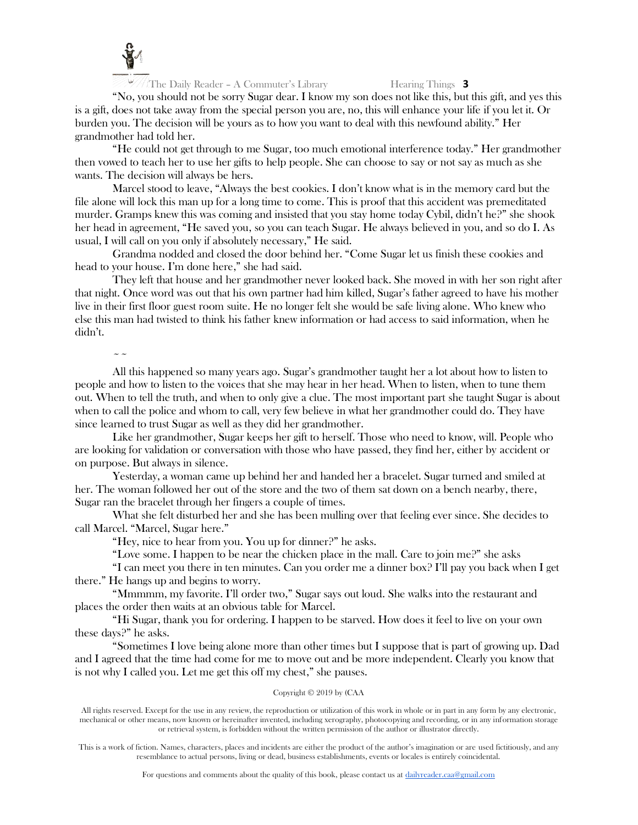

"No, you should not be sorry Sugar dear. I know my son does not like this, but this gift, and yes this is a gift, does not take away from the special person you are, no, this will enhance your life if you let it. Or burden you. The decision will be yours as to how you want to deal with this newfound ability." Her grandmother had told her.

"He could not get through to me Sugar, too much emotional interference today." Her grandmother then vowed to teach her to use her gifts to help people. She can choose to say or not say as much as she wants. The decision will always be hers.

Marcel stood to leave, "Always the best cookies. I don't know what is in the memory card but the file alone will lock this man up for a long time to come. This is proof that this accident was premeditated murder. Gramps knew this was coming and insisted that you stay home today Cybil, didn't he?" she shook her head in agreement, "He saved you, so you can teach Sugar. He always believed in you, and so do I. As usual, I will call on you only if absolutely necessary," He said.

Grandma nodded and closed the door behind her. "Come Sugar let us finish these cookies and head to your house. I'm done here," she had said.

They left that house and her grandmother never looked back. She moved in with her son right after that night. Once word was out that his own partner had him killed, Sugar's father agreed to have his mother live in their first floor guest room suite. He no longer felt she would be safe living alone. Who knew who else this man had twisted to think his father knew information or had access to said information, when he didn't.

 $\sim$   $\sim$ 

All this happened so many years ago. Sugar's grandmother taught her a lot about how to listen to people and how to listen to the voices that she may hear in her head. When to listen, when to tune them out. When to tell the truth, and when to only give a clue. The most important part she taught Sugar is about when to call the police and whom to call, very few believe in what her grandmother could do. They have since learned to trust Sugar as well as they did her grandmother.

Like her grandmother, Sugar keeps her gift to herself. Those who need to know, will. People who are looking for validation or conversation with those who have passed, they find her, either by accident or on purpose. But always in silence.

Yesterday, a woman came up behind her and handed her a bracelet. Sugar turned and smiled at her. The woman followed her out of the store and the two of them sat down on a bench nearby, there, Sugar ran the bracelet through her fingers a couple of times.

What she felt disturbed her and she has been mulling over that feeling ever since. She decides to call Marcel. "Marcel, Sugar here."

"Hey, nice to hear from you. You up for dinner?" he asks.

"Love some. I happen to be near the chicken place in the mall. Care to join me?" she asks

"I can meet you there in ten minutes. Can you order me a dinner box? I'll pay you back when I get there." He hangs up and begins to worry.

"Mmmmm, my favorite. I'll order two," Sugar says out loud. She walks into the restaurant and places the order then waits at an obvious table for Marcel.

"Hi Sugar, thank you for ordering. I happen to be starved. How does it feel to live on your own these days?" he asks.

"Sometimes I love being alone more than other times but I suppose that is part of growing up. Dad and I agreed that the time had come for me to move out and be more independent. Clearly you know that is not why I called you. Let me get this off my chest," she pauses.

# Copyright © 2019 by (CAA

All rights reserved. Except for the use in any review, the reproduction or utilization of this work in whole or in part in any form by any electronic, mechanical or other means, now known or hereinafter invented, including xerography, photocopying and recording, or in any information storage or retrieval system, is forbidden without the written permission of the author or illustrator directly.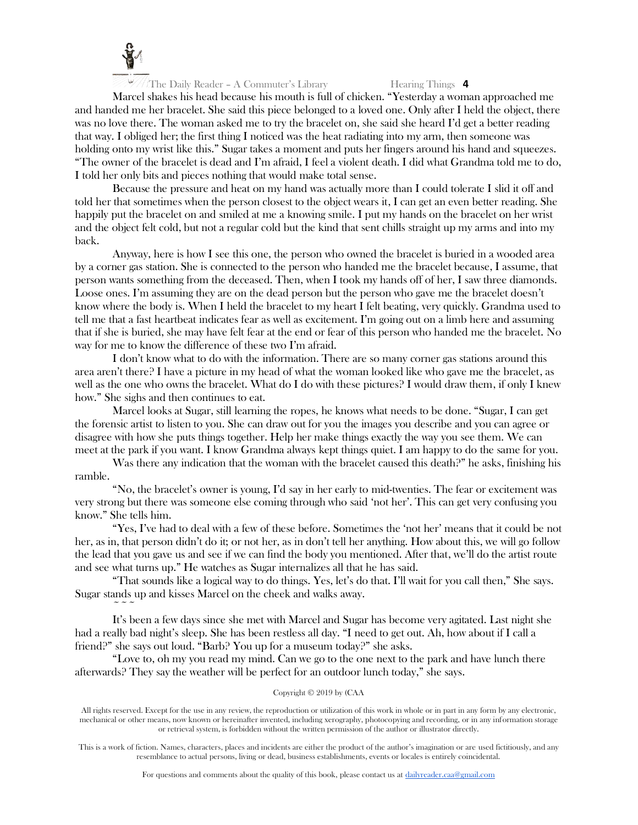

Marcel shakes his head because his mouth is full of chicken. "Yesterday a woman approached me and handed me her bracelet. She said this piece belonged to a loved one. Only after I held the object, there was no love there. The woman asked me to try the bracelet on, she said she heard I'd get a better reading that way. I obliged her; the first thing I noticed was the heat radiating into my arm, then someone was holding onto my wrist like this." Sugar takes a moment and puts her fingers around his hand and squeezes. "The owner of the bracelet is dead and I'm afraid, I feel a violent death. I did what Grandma told me to do, I told her only bits and pieces nothing that would make total sense.

Because the pressure and heat on my hand was actually more than I could tolerate I slid it off and told her that sometimes when the person closest to the object wears it, I can get an even better reading. She happily put the bracelet on and smiled at me a knowing smile. I put my hands on the bracelet on her wrist and the object felt cold, but not a regular cold but the kind that sent chills straight up my arms and into my back.

Anyway, here is how I see this one, the person who owned the bracelet is buried in a wooded area by a corner gas station. She is connected to the person who handed me the bracelet because, I assume, that person wants something from the deceased. Then, when I took my hands off of her, I saw three diamonds. Loose ones. I'm assuming they are on the dead person but the person who gave me the bracelet doesn't know where the body is. When I held the bracelet to my heart I felt beating, very quickly. Grandma used to tell me that a fast heartbeat indicates fear as well as excitement. I'm going out on a limb here and assuming that if she is buried, she may have felt fear at the end or fear of this person who handed me the bracelet. No way for me to know the difference of these two I'm afraid.

I don't know what to do with the information. There are so many corner gas stations around this area aren't there? I have a picture in my head of what the woman looked like who gave me the bracelet, as well as the one who owns the bracelet. What do I do with these pictures? I would draw them, if only I knew how." She sighs and then continues to eat.

Marcel looks at Sugar, still learning the ropes, he knows what needs to be done. "Sugar, I can get the forensic artist to listen to you. She can draw out for you the images you describe and you can agree or disagree with how she puts things together. Help her make things exactly the way you see them. We can meet at the park if you want. I know Grandma always kept things quiet. I am happy to do the same for you.

Was there any indication that the woman with the bracelet caused this death?" he asks, finishing his ramble.

"No, the bracelet's owner is young, I'd say in her early to mid-twenties. The fear or excitement was very strong but there was someone else coming through who said 'not her'. This can get very confusing you know." She tells him.

"Yes, I've had to deal with a few of these before. Sometimes the 'not her' means that it could be not her, as in, that person didn't do it; or not her, as in don't tell her anything. How about this, we will go follow the lead that you gave us and see if we can find the body you mentioned. After that, we'll do the artist route and see what turns up." He watches as Sugar internalizes all that he has said.

"That sounds like a logical way to do things. Yes, let's do that. I'll wait for you call then," She says. Sugar stands up and kisses Marcel on the cheek and walks away.

 $\sim$   $\sim$   $\sim$ 

It's been a few days since she met with Marcel and Sugar has become very agitated. Last night she had a really bad night's sleep. She has been restless all day. "I need to get out. Ah, how about if I call a friend?" she says out loud. "Barb? You up for a museum today?" she asks.

"Love to, oh my you read my mind. Can we go to the one next to the park and have lunch there afterwards? They say the weather will be perfect for an outdoor lunch today," she says.

# Copyright © 2019 by (CAA

All rights reserved. Except for the use in any review, the reproduction or utilization of this work in whole or in part in any form by any electronic, mechanical or other means, now known or hereinafter invented, including xerography, photocopying and recording, or in any information storage or retrieval system, is forbidden without the written permission of the author or illustrator directly.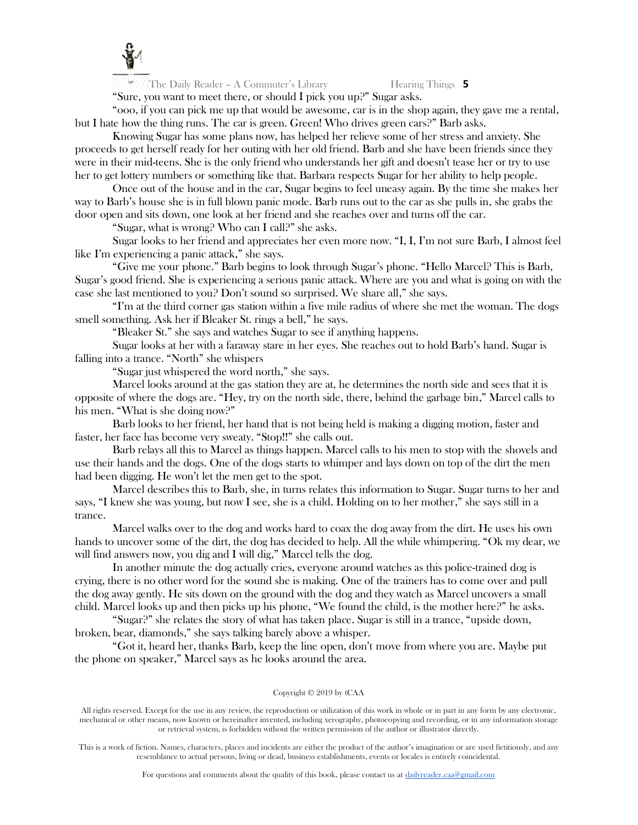

 $\frac{10}{2}$  The Daily Reader – A Commuter's Library Hearing Things 5

"Sure, you want to meet there, or should I pick you up?" Sugar asks.

"ooo, if you can pick me up that would be awesome, car is in the shop again, they gave me a rental, but I hate how the thing runs. The car is green. Green! Who drives green cars?" Barb asks.

Knowing Sugar has some plans now, has helped her relieve some of her stress and anxiety. She proceeds to get herself ready for her outing with her old friend. Barb and she have been friends since they were in their mid-teens. She is the only friend who understands her gift and doesn't tease her or try to use her to get lottery numbers or something like that. Barbara respects Sugar for her ability to help people.

Once out of the house and in the car, Sugar begins to feel uneasy again. By the time she makes her way to Barb's house she is in full blown panic mode. Barb runs out to the car as she pulls in, she grabs the door open and sits down, one look at her friend and she reaches over and turns off the car.

"Sugar, what is wrong? Who can I call?" she asks.

Sugar looks to her friend and appreciates her even more now. "I, I, I'm not sure Barb, I almost feel like I'm experiencing a panic attack," she says.

"Give me your phone." Barb begins to look through Sugar's phone. "Hello Marcel? This is Barb, Sugar's good friend. She is experiencing a serious panic attack. Where are you and what is going on with the case she last mentioned to you? Don't sound so surprised. We share all," she says.

"I'm at the third corner gas station within a five mile radius of where she met the woman. The dogs smell something. Ask her if Bleaker St. rings a bell," he says.

"Bleaker St." she says and watches Sugar to see if anything happens.

Sugar looks at her with a faraway stare in her eyes. She reaches out to hold Barb's hand. Sugar is falling into a trance. "North" she whispers

"Sugar just whispered the word north," she says.

Marcel looks around at the gas station they are at, he determines the north side and sees that it is opposite of where the dogs are. "Hey, try on the north side, there, behind the garbage bin," Marcel calls to his men. "What is she doing now?"

Barb looks to her friend, her hand that is not being held is making a digging motion, faster and faster, her face has become very sweaty. "Stop!!" she calls out.

Barb relays all this to Marcel as things happen. Marcel calls to his men to stop with the shovels and use their hands and the dogs. One of the dogs starts to whimper and lays down on top of the dirt the men had been digging. He won't let the men get to the spot.

Marcel describes this to Barb, she, in turns relates this information to Sugar. Sugar turns to her and says, "I knew she was young, but now I see, she is a child. Holding on to her mother," she says still in a trance.

Marcel walks over to the dog and works hard to coax the dog away from the dirt. He uses his own hands to uncover some of the dirt, the dog has decided to help. All the while whimpering. "Ok my dear, we will find answers now, you dig and I will dig," Marcel tells the dog.

In another minute the dog actually cries, everyone around watches as this police-trained dog is crying, there is no other word for the sound she is making. One of the trainers has to come over and pull the dog away gently. He sits down on the ground with the dog and they watch as Marcel uncovers a small child. Marcel looks up and then picks up his phone, "We found the child, is the mother here?" he asks.

"Sugar?" she relates the story of what has taken place. Sugar is still in a trance, "upside down, broken, bear, diamonds," she says talking barely above a whisper.

"Got it, heard her, thanks Barb, keep the line open, don't move from where you are. Maybe put the phone on speaker," Marcel says as he looks around the area.

### Copyright © 2019 by (CAA

All rights reserved. Except for the use in any review, the reproduction or utilization of this work in whole or in part in any form by any electronic, mechanical or other means, now known or hereinafter invented, including xerography, photocopying and recording, or in any information storage or retrieval system, is forbidden without the written permission of the author or illustrator directly.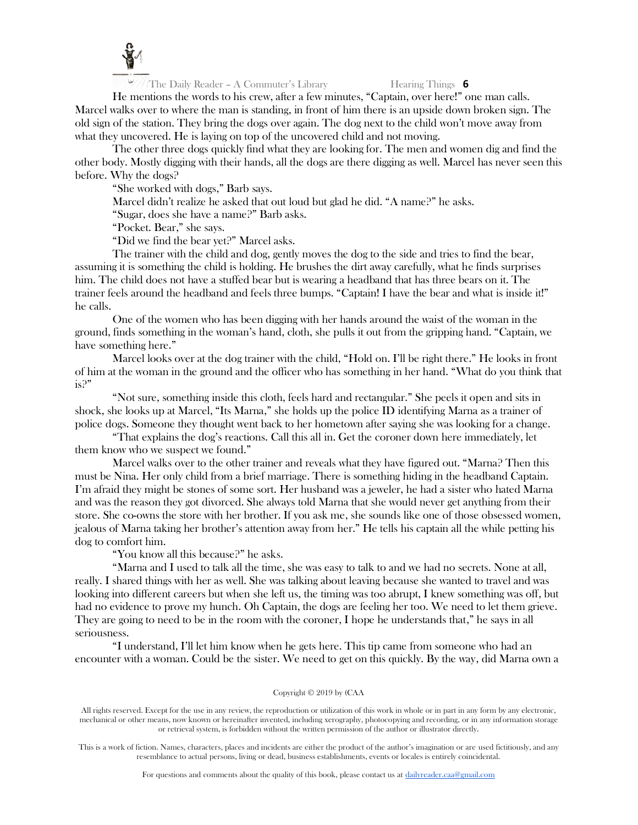

He mentions the words to his crew, after a few minutes, "Captain, over here!" one man calls. Marcel walks over to where the man is standing, in front of him there is an upside down broken sign. The old sign of the station. They bring the dogs over again. The dog next to the child won't move away from what they uncovered. He is laying on top of the uncovered child and not moving.

The other three dogs quickly find what they are looking for. The men and women dig and find the other body. Mostly digging with their hands, all the dogs are there digging as well. Marcel has never seen this before. Why the dogs?

"She worked with dogs," Barb says.

Marcel didn't realize he asked that out loud but glad he did. "A name?" he asks.

"Sugar, does she have a name?" Barb asks.

"Pocket. Bear," she says.

"Did we find the bear yet?" Marcel asks.

The trainer with the child and dog, gently moves the dog to the side and tries to find the bear, assuming it is something the child is holding. He brushes the dirt away carefully, what he finds surprises him. The child does not have a stuffed bear but is wearing a headband that has three bears on it. The trainer feels around the headband and feels three bumps. "Captain! I have the bear and what is inside it!" he calls.

One of the women who has been digging with her hands around the waist of the woman in the ground, finds something in the woman's hand, cloth, she pulls it out from the gripping hand. "Captain, we have something here."

Marcel looks over at the dog trainer with the child, "Hold on. I'll be right there." He looks in front of him at the woman in the ground and the officer who has something in her hand. "What do you think that is?"

"Not sure, something inside this cloth, feels hard and rectangular." She peels it open and sits in shock, she looks up at Marcel, "Its Marna," she holds up the police ID identifying Marna as a trainer of police dogs. Someone they thought went back to her hometown after saying she was looking for a change.

"That explains the dog's reactions. Call this all in. Get the coroner down here immediately, let them know who we suspect we found."

Marcel walks over to the other trainer and reveals what they have figured out. "Marna? Then this must be Nina. Her only child from a brief marriage. There is something hiding in the headband Captain. I'm afraid they might be stones of some sort. Her husband was a jeweler, he had a sister who hated Marna and was the reason they got divorced. She always told Marna that she would never get anything from their store. She co-owns the store with her brother. If you ask me, she sounds like one of those obsessed women, jealous of Marna taking her brother's attention away from her." He tells his captain all the while petting his dog to comfort him.

"You know all this because?" he asks.

"Marna and I used to talk all the time, she was easy to talk to and we had no secrets. None at all, really. I shared things with her as well. She was talking about leaving because she wanted to travel and was looking into different careers but when she left us, the timing was too abrupt, I knew something was off, but had no evidence to prove my hunch. Oh Captain, the dogs are feeling her too. We need to let them grieve. They are going to need to be in the room with the coroner, I hope he understands that," he says in all seriousness.

"I understand, I'll let him know when he gets here. This tip came from someone who had an encounter with a woman. Could be the sister. We need to get on this quickly. By the way, did Marna own a

### Copyright © 2019 by (CAA

All rights reserved. Except for the use in any review, the reproduction or utilization of this work in whole or in part in any form by any electronic, mechanical or other means, now known or hereinafter invented, including xerography, photocopying and recording, or in any information storage or retrieval system, is forbidden without the written permission of the author or illustrator directly.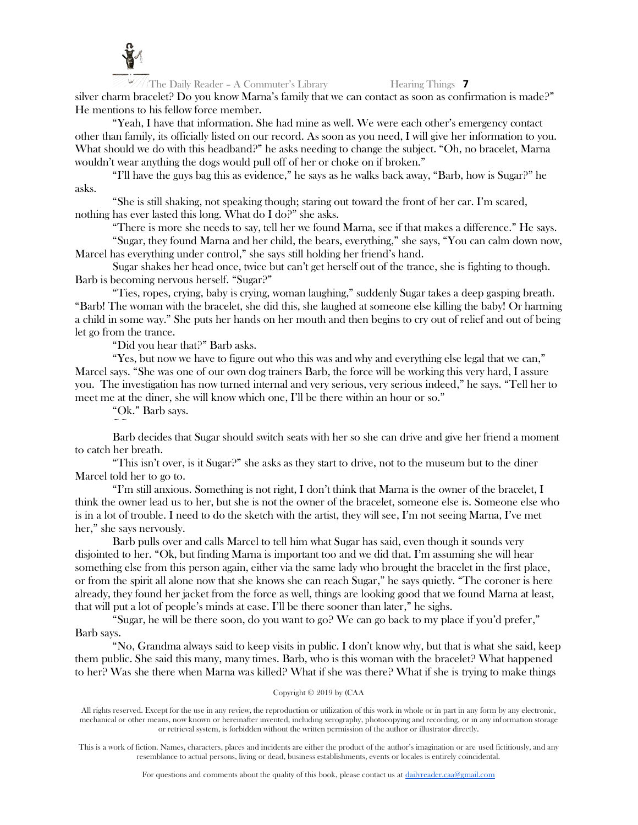

silver charm bracelet? Do you know Marna's family that we can contact as soon as confirmation is made?" He mentions to his fellow force member.

"Yeah, I have that information. She had mine as well. We were each other's emergency contact other than family, its officially listed on our record. As soon as you need, I will give her information to you. What should we do with this headband?" he asks needing to change the subject. "Oh, no bracelet, Marna wouldn't wear anything the dogs would pull off of her or choke on if broken."

"I'll have the guys bag this as evidence," he says as he walks back away, "Barb, how is Sugar?" he asks.

"She is still shaking, not speaking though; staring out toward the front of her car. I'm scared, nothing has ever lasted this long. What do I do?" she asks.

"There is more she needs to say, tell her we found Marna, see if that makes a difference." He says.

"Sugar, they found Marna and her child, the bears, everything," she says, "You can calm down now, Marcel has everything under control," she says still holding her friend's hand.

Sugar shakes her head once, twice but can't get herself out of the trance, she is fighting to though. Barb is becoming nervous herself. "Sugar?"

"Ties, ropes, crying, baby is crying, woman laughing," suddenly Sugar takes a deep gasping breath. "Barb! The woman with the bracelet, she did this, she laughed at someone else killing the baby! Or harming a child in some way." She puts her hands on her mouth and then begins to cry out of relief and out of being let go from the trance.

"Did you hear that?" Barb asks.

"Yes, but now we have to figure out who this was and why and everything else legal that we can," Marcel says. "She was one of our own dog trainers Barb, the force will be working this very hard, I assure you. The investigation has now turned internal and very serious, very serious indeed," he says. "Tell her to meet me at the diner, she will know which one, I'll be there within an hour or so."

"Ok." Barb says.

 $\sim$   $\sim$ 

Barb decides that Sugar should switch seats with her so she can drive and give her friend a moment to catch her breath.

"This isn't over, is it Sugar?" she asks as they start to drive, not to the museum but to the diner Marcel told her to go to.

"I'm still anxious. Something is not right, I don't think that Marna is the owner of the bracelet, I think the owner lead us to her, but she is not the owner of the bracelet, someone else is. Someone else who is in a lot of trouble. I need to do the sketch with the artist, they will see, I'm not seeing Marna, I've met her," she says nervously.

Barb pulls over and calls Marcel to tell him what Sugar has said, even though it sounds very disjointed to her. "Ok, but finding Marna is important too and we did that. I'm assuming she will hear something else from this person again, either via the same lady who brought the bracelet in the first place, or from the spirit all alone now that she knows she can reach Sugar," he says quietly. "The coroner is here already, they found her jacket from the force as well, things are looking good that we found Marna at least, that will put a lot of people's minds at ease. I'll be there sooner than later," he sighs.

"Sugar, he will be there soon, do you want to go? We can go back to my place if you'd prefer," Barb says.

"No, Grandma always said to keep visits in public. I don't know why, but that is what she said, keep them public. She said this many, many times. Barb, who is this woman with the bracelet? What happened to her? Was she there when Marna was killed? What if she was there? What if she is trying to make things

Copyright © 2019 by (CAA

All rights reserved. Except for the use in any review, the reproduction or utilization of this work in whole or in part in any form by any electronic, mechanical or other means, now known or hereinafter invented, including xerography, photocopying and recording, or in any information storage or retrieval system, is forbidden without the written permission of the author or illustrator directly.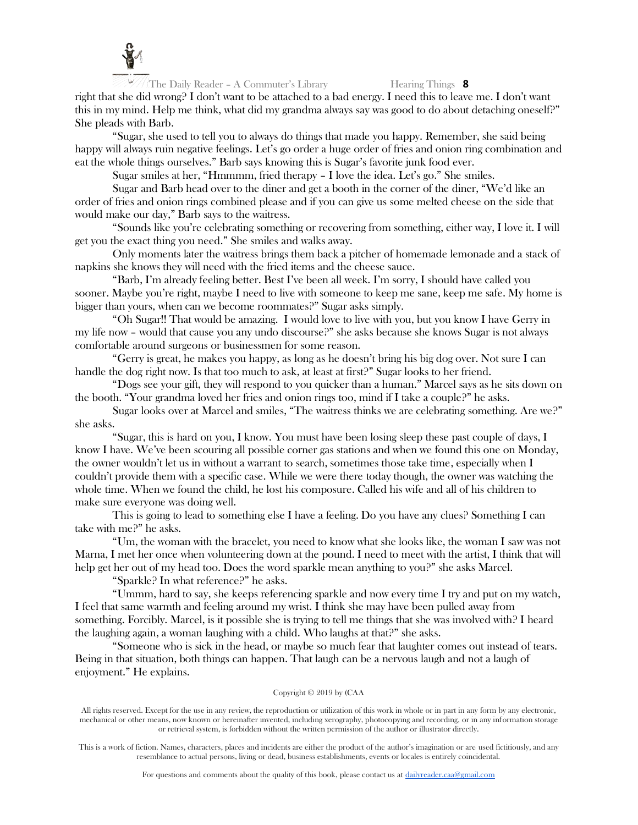

right that she did wrong? I don't want to be attached to a bad energy. I need this to leave me. I don't want this in my mind. Help me think, what did my grandma always say was good to do about detaching oneself?" She pleads with Barb.

"Sugar, she used to tell you to always do things that made you happy. Remember, she said being happy will always ruin negative feelings. Let's go order a huge order of fries and onion ring combination and eat the whole things ourselves." Barb says knowing this is Sugar's favorite junk food ever.

Sugar smiles at her, "Hmmmm, fried therapy – I love the idea. Let's go." She smiles.

Sugar and Barb head over to the diner and get a booth in the corner of the diner, "We'd like an order of fries and onion rings combined please and if you can give us some melted cheese on the side that would make our day," Barb says to the waitress.

"Sounds like you're celebrating something or recovering from something, either way, I love it. I will get you the exact thing you need." She smiles and walks away.

Only moments later the waitress brings them back a pitcher of homemade lemonade and a stack of napkins she knows they will need with the fried items and the cheese sauce.

"Barb, I'm already feeling better. Best I've been all week. I'm sorry, I should have called you sooner. Maybe you're right, maybe I need to live with someone to keep me sane, keep me safe. My home is bigger than yours, when can we become roommates?" Sugar asks simply.

"Oh Sugar!! That would be amazing. I would love to live with you, but you know I have Gerry in my life now – would that cause you any undo discourse?" she asks because she knows Sugar is not always comfortable around surgeons or businessmen for some reason.

"Gerry is great, he makes you happy, as long as he doesn't bring his big dog over. Not sure I can handle the dog right now. Is that too much to ask, at least at first?" Sugar looks to her friend.

"Dogs see your gift, they will respond to you quicker than a human." Marcel says as he sits down on the booth. "Your grandma loved her fries and onion rings too, mind if I take a couple?" he asks.

Sugar looks over at Marcel and smiles, "The waitress thinks we are celebrating something. Are we?" she asks.

"Sugar, this is hard on you, I know. You must have been losing sleep these past couple of days, I know I have. We've been scouring all possible corner gas stations and when we found this one on Monday, the owner wouldn't let us in without a warrant to search, sometimes those take time, especially when I couldn't provide them with a specific case. While we were there today though, the owner was watching the whole time. When we found the child, he lost his composure. Called his wife and all of his children to make sure everyone was doing well.

This is going to lead to something else I have a feeling. Do you have any clues? Something I can take with me?" he asks.

"Um, the woman with the bracelet, you need to know what she looks like, the woman I saw was not Marna, I met her once when volunteering down at the pound. I need to meet with the artist, I think that will help get her out of my head too. Does the word sparkle mean anything to you?" she asks Marcel.

"Sparkle? In what reference?" he asks.

"Ummm, hard to say, she keeps referencing sparkle and now every time I try and put on my watch, I feel that same warmth and feeling around my wrist. I think she may have been pulled away from something. Forcibly. Marcel, is it possible she is trying to tell me things that she was involved with? I heard the laughing again, a woman laughing with a child. Who laughs at that?" she asks.

"Someone who is sick in the head, or maybe so much fear that laughter comes out instead of tears. Being in that situation, both things can happen. That laugh can be a nervous laugh and not a laugh of enjoyment." He explains.

### Copyright © 2019 by (CAA

All rights reserved. Except for the use in any review, the reproduction or utilization of this work in whole or in part in any form by any electronic, mechanical or other means, now known or hereinafter invented, including xerography, photocopying and recording, or in any information storage or retrieval system, is forbidden without the written permission of the author or illustrator directly.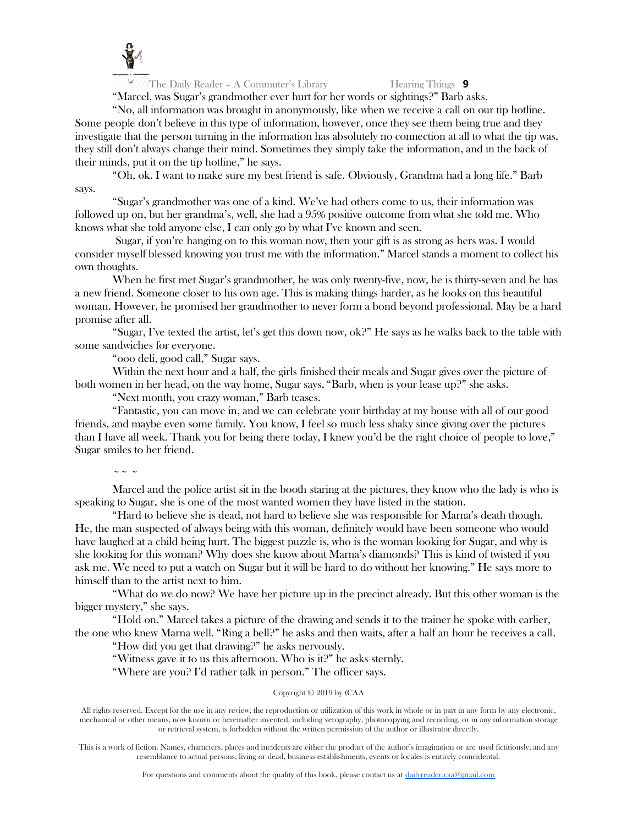

"Marcel, was Sugar's grandmother ever hurt for her words or sightings?" Barb asks.

"No, all information was brought in anonymously, like when we receive a call on our tip hotline. Some people don't believe in this type of information, however, once they see them being true and they investigate that the person turning in the information has absolutely no connection at all to what the tip was, they still don't always change their mind. Sometimes they simply take the information, and in the back of their minds, put it on the tip hotline," he says.

"Oh, ok. I want to make sure my best friend is safe. Obviously, Grandma had a long life." Barb says.

"Sugar's grandmother was one of a kind. We've had others come to us, their information was followed up on, but her grandma's, well, she had a 95% positive outcome from what she told me. Who knows what she told anyone else, I can only go by what I've known and seen.

Sugar, if you're hanging on to this woman now, then your gift is as strong as hers was. I would consider myself blessed knowing you trust me with the information." Marcel stands a moment to collect his own thoughts.

When he first met Sugar's grandmother, he was only twenty-five, now, he is thirty-seven and he has a new friend. Someone closer to his own age. This is making things harder, as he looks on this beautiful woman. However, he promised her grandmother to never form a bond beyond professional. May be a hard promise after all.

"Sugar, I've texted the artist, let's get this down now, ok?" He says as he walks back to the table with some sandwiches for everyone.

"ooo deli, good call," Sugar says.

Within the next hour and a half, the girls finished their meals and Sugar gives over the picture of both women in her head, on the way home, Sugar says, "Barb, when is your lease up?" she asks.

"Next month, you crazy woman," Barb teases.

"Fantastic, you can move in, and we can celebrate your birthday at my house with all of our good friends, and maybe even some family. You know, I feel so much less shaky since giving over the pictures than I have all week. Thank you for being there today, I knew you'd be the right choice of people to love," Sugar smiles to her friend.

 $\sim$   $\sim$   $\sim$ 

Marcel and the police artist sit in the booth staring at the pictures, they know who the lady is who is speaking to Sugar, she is one of the most wanted women they have listed in the station.

"Hard to believe she is dead, not hard to believe she was responsible for Marna's death though. He, the man suspected of always being with this woman, definitely would have been someone who would have laughed at a child being hurt. The biggest puzzle is, who is the woman looking for Sugar, and why is she looking for this woman? Why does she know about Marna's diamonds? This is kind of twisted if you ask me. We need to put a watch on Sugar but it will be hard to do without her knowing." He says more to himself than to the artist next to him.

"What do we do now? We have her picture up in the precinct already. But this other woman is the bigger mystery," she says.

"Hold on." Marcel takes a picture of the drawing and sends it to the trainer he spoke with earlier, the one who knew Marna well. "Ring a bell?" he asks and then waits, after a half an hour he receives a call.

"How did you get that drawing?" he asks nervously.

"Witness gave it to us this afternoon. Who is it?" he asks sternly.

"Where are you? I'd rather talk in person." The officer says.

# Copyright © 2019 by (CAA

All rights reserved. Except for the use in any review, the reproduction or utilization of this work in whole or in part in any form by any electronic, mechanical or other means, now known or hereinafter invented, including xerography, photocopying and recording, or in any information storage or retrieval system, is forbidden without the written permission of the author or illustrator directly.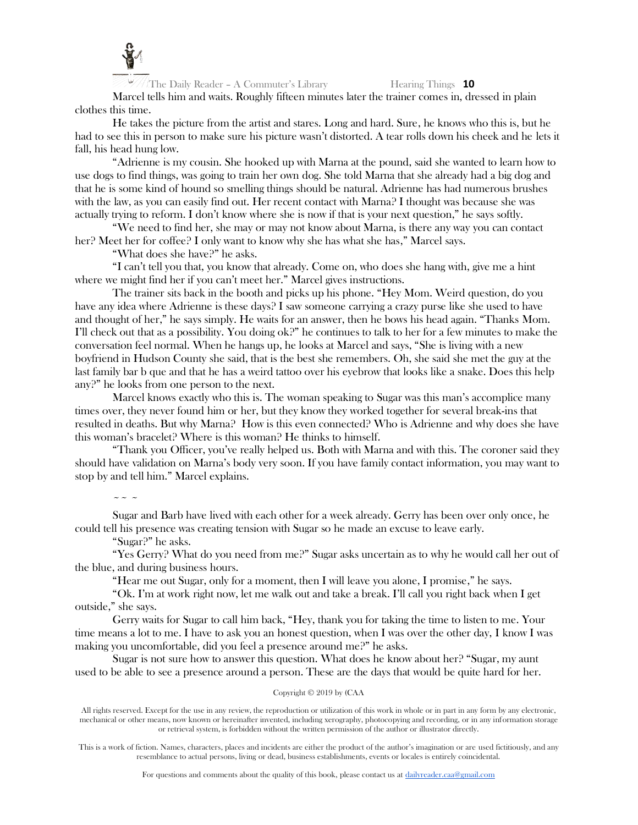

Marcel tells him and waits. Roughly fifteen minutes later the trainer comes in, dressed in plain clothes this time.

He takes the picture from the artist and stares. Long and hard. Sure, he knows who this is, but he had to see this in person to make sure his picture wasn't distorted. A tear rolls down his cheek and he lets it fall, his head hung low.

"Adrienne is my cousin. She hooked up with Marna at the pound, said she wanted to learn how to use dogs to find things, was going to train her own dog. She told Marna that she already had a big dog and that he is some kind of hound so smelling things should be natural. Adrienne has had numerous brushes with the law, as you can easily find out. Her recent contact with Marna? I thought was because she was actually trying to reform. I don't know where she is now if that is your next question," he says softly.

"We need to find her, she may or may not know about Marna, is there any way you can contact her? Meet her for coffee? I only want to know why she has what she has," Marcel says.

"What does she have?" he asks.

"I can't tell you that, you know that already. Come on, who does she hang with, give me a hint where we might find her if you can't meet her." Marcel gives instructions.

The trainer sits back in the booth and picks up his phone. "Hey Mom. Weird question, do you have any idea where Adrienne is these days? I saw someone carrying a crazy purse like she used to have and thought of her," he says simply. He waits for an answer, then he bows his head again. "Thanks Mom. I'll check out that as a possibility. You doing ok?" he continues to talk to her for a few minutes to make the conversation feel normal. When he hangs up, he looks at Marcel and says, "She is living with a new boyfriend in Hudson County she said, that is the best she remembers. Oh, she said she met the guy at the last family bar b que and that he has a weird tattoo over his eyebrow that looks like a snake. Does this help any?" he looks from one person to the next.

Marcel knows exactly who this is. The woman speaking to Sugar was this man's accomplice many times over, they never found him or her, but they know they worked together for several break-ins that resulted in deaths. But why Marna? How is this even connected? Who is Adrienne and why does she have this woman's bracelet? Where is this woman? He thinks to himself.

"Thank you Officer, you've really helped us. Both with Marna and with this. The coroner said they should have validation on Marna's body very soon. If you have family contact information, you may want to stop by and tell him." Marcel explains.

 $\sim$   $\sim$   $\sim$ 

Sugar and Barb have lived with each other for a week already. Gerry has been over only once, he could tell his presence was creating tension with Sugar so he made an excuse to leave early.

"Sugar?" he asks.

"Yes Gerry? What do you need from me?" Sugar asks uncertain as to why he would call her out of the blue, and during business hours.

"Hear me out Sugar, only for a moment, then I will leave you alone, I promise," he says.

"Ok. I'm at work right now, let me walk out and take a break. I'll call you right back when I get outside," she says.

Gerry waits for Sugar to call him back, "Hey, thank you for taking the time to listen to me. Your time means a lot to me. I have to ask you an honest question, when I was over the other day, I know I was making you uncomfortable, did you feel a presence around me?" he asks.

Sugar is not sure how to answer this question. What does he know about her? "Sugar, my aunt used to be able to see a presence around a person. These are the days that would be quite hard for her.

# Copyright © 2019 by (CAA

All rights reserved. Except for the use in any review, the reproduction or utilization of this work in whole or in part in any form by any electronic, mechanical or other means, now known or hereinafter invented, including xerography, photocopying and recording, or in any information storage or retrieval system, is forbidden without the written permission of the author or illustrator directly.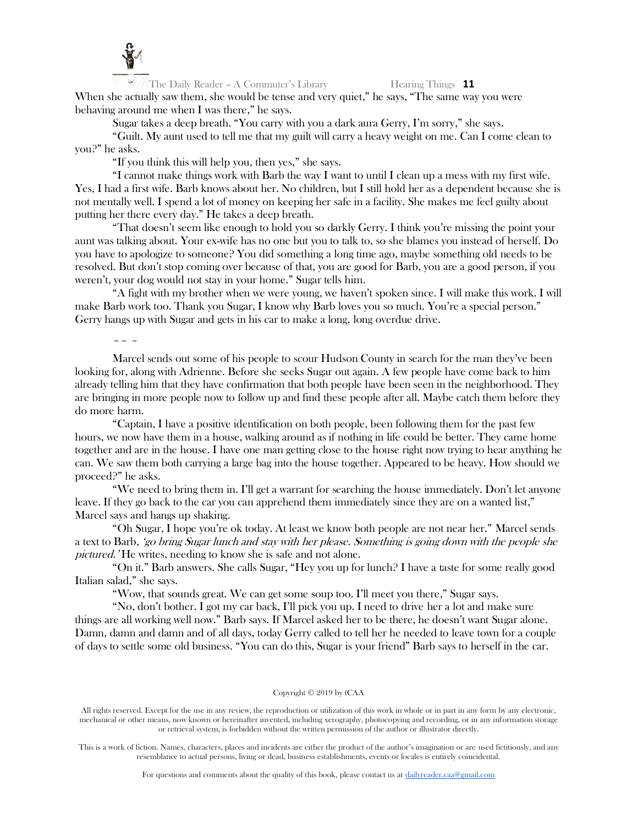

The Daily Reader – A Commuter's Library Hearing Things 11 When she actually saw them, she would be tense and very quiet," he says, "The same way you were behaving around me when I was there," he says.

Sugar takes a deep breath. "You carry with you a dark aura Gerry, I'm sorry," she says.

"Guilt. My aunt used to tell me that my guilt will carry a heavy weight on me. Can I come clean to you?" he asks.

"If you think this will help you, then yes," she says.

"I cannot make things work with Barb the way I want to until I clean up a mess with my first wife. Yes, I had a first wife. Barb knows about her. No children, but I still hold her as a dependent because she is not mentally well. I spend a lot of money on keeping her safe in a facility. She makes me feel guilty about putting her there every day." He takes a deep breath.

"That doesn't seem like enough to hold you so darkly Gerry. I think you're missing the point your aunt was talking about. Your ex-wife has no one but you to talk to, so she blames you instead of herself. Do you have to apologize to someone? You did something a long time ago, maybe something old needs to be resolved. But don't stop coming over because of that, you are good for Barb, you are a good person, if you weren't, your dog would not stay in your home." Sugar tells him.

"A fight with my brother when we were young, we haven't spoken since. I will make this work. I will make Barb work too. Thank you Sugar, I know why Barb loves you so much. You're a special person." Gerry hangs up with Sugar and gets in his car to make a long, long overdue drive.

 $\sim$   $\sim$   $\sim$ 

Marcel sends out some of his people to scour Hudson County in search for the man they've been looking for, along with Adrienne. Before she seeks Sugar out again. A few people have come back to him already telling him that they have confirmation that both people have been seen in the neighborhood. They are bringing in more people now to follow up and find these people after all. Maybe catch them before they do more harm.

"Captain, I have a positive identification on both people, been following them for the past few hours, we now have them in a house, walking around as if nothing in life could be better. They came home together and are in the house. I have one man getting close to the house right now trying to hear anything he can. We saw them both carrying a large bag into the house together. Appeared to be heavy. How should we proceed?" he asks.

"We need to bring them in. I'll get a warrant for searching the house immediately. Don't let anyone leave. If they go back to the car you can apprehend them immediately since they are on a wanted list," Marcel says and hangs up shaking.

"Oh Sugar, I hope you're ok today. At least we know both people are not near her." Marcel sends a text to Barb, 'go bring Sugar lunch and stay with her please. Something is going down with the people she pictured.' He writes, needing to know she is safe and not alone.

"On it." Barb answers. She calls Sugar, "Hey you up for lunch? I have a taste for some really good Italian salad," she says.

"Wow, that sounds great. We can get some soup too. I'll meet you there," Sugar says.

"No, don't bother. I got my car back, I'll pick you up. I need to drive her a lot and make sure things are all working well now." Barb says. If Marcel asked her to be there, he doesn't want Sugar alone. Damn, damn and damn and of all days, today Gerry called to tell her he needed to leave town for a couple of days to settle some old business. "You can do this, Sugar is your friend" Barb says to herself in the car.

Copyright © 2019 by (CAA

All rights reserved. Except for the use in any review, the reproduction or utilization of this work in whole or in part in any form by any electronic, mechanical or other means, now known or hereinafter invented, including xerography, photocopying and recording, or in any information storage or retrieval system, is forbidden without the written permission of the author or illustrator directly.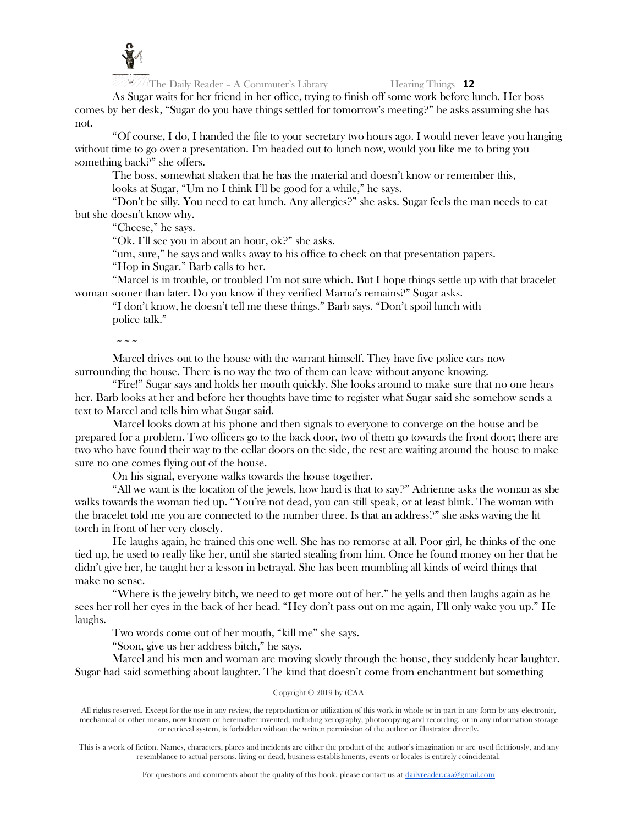

As Sugar waits for her friend in her office, trying to finish off some work before lunch. Her boss comes by her desk, "Sugar do you have things settled for tomorrow's meeting?" he asks assuming she has not.

"Of course, I do, I handed the file to your secretary two hours ago. I would never leave you hanging without time to go over a presentation. I'm headed out to lunch now, would you like me to bring you something back?" she offers.

The boss, somewhat shaken that he has the material and doesn't know or remember this,

looks at Sugar, "Um no I think I'll be good for a while," he says.

"Don't be silly. You need to eat lunch. Any allergies?" she asks. Sugar feels the man needs to eat but she doesn't know why.

"Cheese," he says.

"Ok. I'll see you in about an hour, ok?" she asks.

"um, sure," he says and walks away to his office to check on that presentation papers.

"Hop in Sugar." Barb calls to her.

"Marcel is in trouble, or troubled I'm not sure which. But I hope things settle up with that bracelet woman sooner than later. Do you know if they verified Marna's remains?" Sugar asks.

"I don't know, he doesn't tell me these things." Barb says. "Don't spoil lunch with police talk."

 $\sim \sim \sim$ 

Marcel drives out to the house with the warrant himself. They have five police cars now surrounding the house. There is no way the two of them can leave without anyone knowing.

"Fire!" Sugar says and holds her mouth quickly. She looks around to make sure that no one hears her. Barb looks at her and before her thoughts have time to register what Sugar said she somehow sends a text to Marcel and tells him what Sugar said.

Marcel looks down at his phone and then signals to everyone to converge on the house and be prepared for a problem. Two officers go to the back door, two of them go towards the front door; there are two who have found their way to the cellar doors on the side, the rest are waiting around the house to make sure no one comes flying out of the house.

On his signal, everyone walks towards the house together.

"All we want is the location of the jewels, how hard is that to say?" Adrienne asks the woman as she walks towards the woman tied up. "You're not dead, you can still speak, or at least blink. The woman with the bracelet told me you are connected to the number three. Is that an address?" she asks waving the lit torch in front of her very closely.

He laughs again, he trained this one well. She has no remorse at all. Poor girl, he thinks of the one tied up, he used to really like her, until she started stealing from him. Once he found money on her that he didn't give her, he taught her a lesson in betrayal. She has been mumbling all kinds of weird things that make no sense.

"Where is the jewelry bitch, we need to get more out of her." he yells and then laughs again as he sees her roll her eyes in the back of her head. "Hey don't pass out on me again, I'll only wake you up." He laughs.

Two words come out of her mouth, "kill me" she says.

"Soon, give us her address bitch," he says.

Marcel and his men and woman are moving slowly through the house, they suddenly hear laughter. Sugar had said something about laughter. The kind that doesn't come from enchantment but something

# Copyright © 2019 by (CAA

All rights reserved. Except for the use in any review, the reproduction or utilization of this work in whole or in part in any form by any electronic, mechanical or other means, now known or hereinafter invented, including xerography, photocopying and recording, or in any information storage or retrieval system, is forbidden without the written permission of the author or illustrator directly.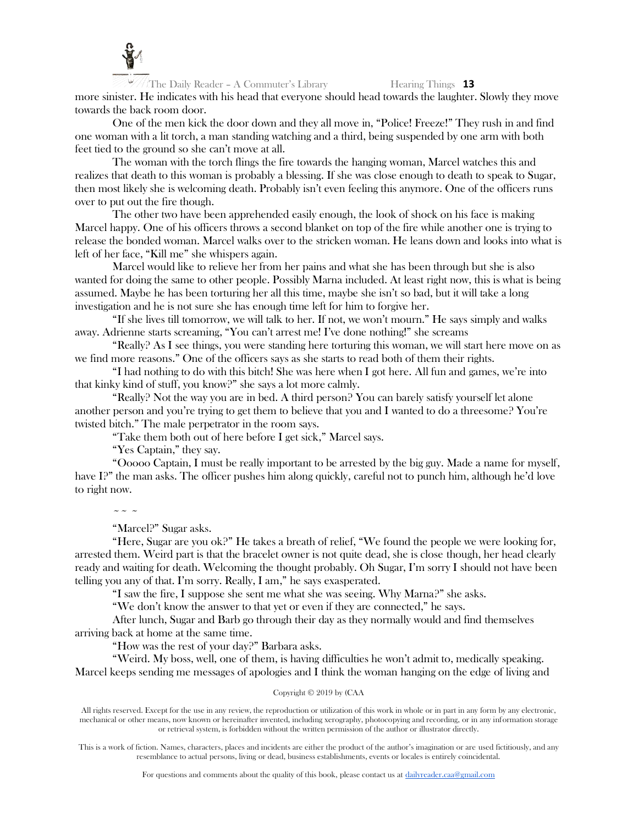

The Daily Reader – A Commuter's Library Hearing Things 13 more sinister. He indicates with his head that everyone should head towards the laughter. Slowly they move towards the back room door.

One of the men kick the door down and they all move in, "Police! Freeze!" They rush in and find one woman with a lit torch, a man standing watching and a third, being suspended by one arm with both feet tied to the ground so she can't move at all.

The woman with the torch flings the fire towards the hanging woman, Marcel watches this and realizes that death to this woman is probably a blessing. If she was close enough to death to speak to Sugar, then most likely she is welcoming death. Probably isn't even feeling this anymore. One of the officers runs over to put out the fire though.

The other two have been apprehended easily enough, the look of shock on his face is making Marcel happy. One of his officers throws a second blanket on top of the fire while another one is trying to release the bonded woman. Marcel walks over to the stricken woman. He leans down and looks into what is left of her face, "Kill me" she whispers again.

Marcel would like to relieve her from her pains and what she has been through but she is also wanted for doing the same to other people. Possibly Marna included. At least right now, this is what is being assumed. Maybe he has been torturing her all this time, maybe she isn't so bad, but it will take a long investigation and he is not sure she has enough time left for him to forgive her.

"If she lives till tomorrow, we will talk to her. If not, we won't mourn." He says simply and walks away. Adrienne starts screaming, "You can't arrest me! I've done nothing!" she screams

"Really? As I see things, you were standing here torturing this woman, we will start here move on as we find more reasons." One of the officers says as she starts to read both of them their rights.

"I had nothing to do with this bitch! She was here when I got here. All fun and games, we're into that kinky kind of stuff, you know?" she says a lot more calmly.

"Really? Not the way you are in bed. A third person? You can barely satisfy yourself let alone another person and you're trying to get them to believe that you and I wanted to do a threesome? You're twisted bitch." The male perpetrator in the room says.

"Take them both out of here before I get sick," Marcel says.

"Yes Captain," they say.

"Ooooo Captain, I must be really important to be arrested by the big guy. Made a name for myself, have I?" the man asks. The officer pushes him along quickly, careful not to punch him, although he'd love to right now.

 $\sim$  ~ ~

"Marcel?" Sugar asks.

"Here, Sugar are you ok?" He takes a breath of relief, "We found the people we were looking for, arrested them. Weird part is that the bracelet owner is not quite dead, she is close though, her head clearly ready and waiting for death. Welcoming the thought probably. Oh Sugar, I'm sorry I should not have been telling you any of that. I'm sorry. Really, I am," he says exasperated.

"I saw the fire, I suppose she sent me what she was seeing. Why Marna?" she asks.

"We don't know the answer to that yet or even if they are connected," he says.

After lunch, Sugar and Barb go through their day as they normally would and find themselves arriving back at home at the same time.

"How was the rest of your day?" Barbara asks.

"Weird. My boss, well, one of them, is having difficulties he won't admit to, medically speaking. Marcel keeps sending me messages of apologies and I think the woman hanging on the edge of living and

# Copyright © 2019 by (CAA

All rights reserved. Except for the use in any review, the reproduction or utilization of this work in whole or in part in any form by any electronic, mechanical or other means, now known or hereinafter invented, including xerography, photocopying and recording, or in any information storage or retrieval system, is forbidden without the written permission of the author or illustrator directly.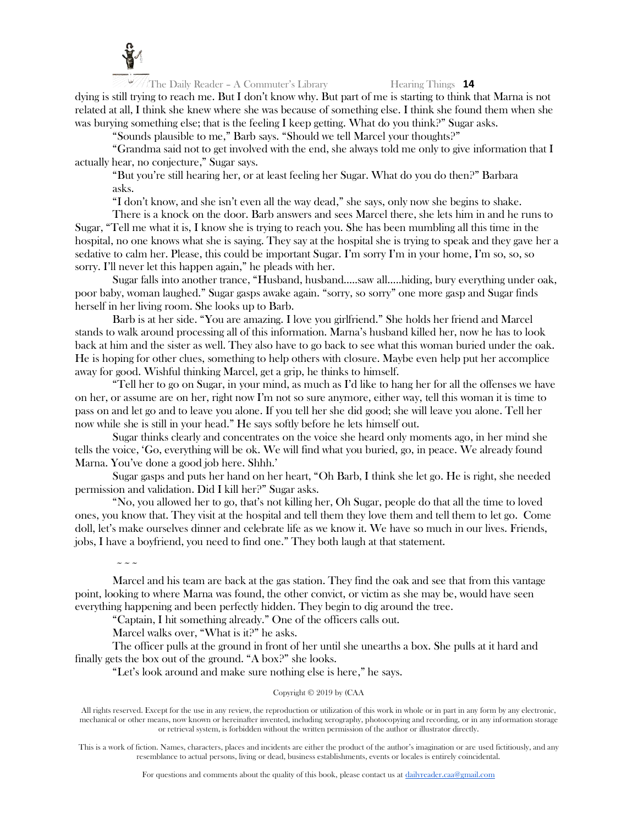

dying is still trying to reach me. But I don't know why. But part of me is starting to think that Marna is not related at all, I think she knew where she was because of something else. I think she found them when she was burying something else; that is the feeling I keep getting. What do you think?" Sugar asks.

"Sounds plausible to me," Barb says. "Should we tell Marcel your thoughts?"

"Grandma said not to get involved with the end, she always told me only to give information that I actually hear, no conjecture," Sugar says.

"But you're still hearing her, or at least feeling her Sugar. What do you do then?" Barbara asks.

"I don't know, and she isn't even all the way dead," she says, only now she begins to shake.

There is a knock on the door. Barb answers and sees Marcel there, she lets him in and he runs to Sugar, "Tell me what it is, I know she is trying to reach you. She has been mumbling all this time in the hospital, no one knows what she is saying. They say at the hospital she is trying to speak and they gave her a sedative to calm her. Please, this could be important Sugar. I'm sorry I'm in your home, I'm so, so, so sorry. I'll never let this happen again," he pleads with her.

Sugar falls into another trance, "Husband, husband…..saw all…..hiding, bury everything under oak, poor baby, woman laughed." Sugar gasps awake again. "sorry, so sorry" one more gasp and Sugar finds herself in her living room. She looks up to Barb.

Barb is at her side. "You are amazing. I love you girlfriend." She holds her friend and Marcel stands to walk around processing all of this information. Marna's husband killed her, now he has to look back at him and the sister as well. They also have to go back to see what this woman buried under the oak. He is hoping for other clues, something to help others with closure. Maybe even help put her accomplice away for good. Wishful thinking Marcel, get a grip, he thinks to himself.

"Tell her to go on Sugar, in your mind, as much as I'd like to hang her for all the offenses we have on her, or assume are on her, right now I'm not so sure anymore, either way, tell this woman it is time to pass on and let go and to leave you alone. If you tell her she did good; she will leave you alone. Tell her now while she is still in your head." He says softly before he lets himself out.

Sugar thinks clearly and concentrates on the voice she heard only moments ago, in her mind she tells the voice, 'Go, everything will be ok. We will find what you buried, go, in peace. We already found Marna. You've done a good job here. Shhh.'

Sugar gasps and puts her hand on her heart, "Oh Barb, I think she let go. He is right, she needed permission and validation. Did I kill her?" Sugar asks.

"No, you allowed her to go, that's not killing her, Oh Sugar, people do that all the time to loved ones, you know that. They visit at the hospital and tell them they love them and tell them to let go. Come doll, let's make ourselves dinner and celebrate life as we know it. We have so much in our lives. Friends, jobs, I have a boyfriend, you need to find one." They both laugh at that statement.

 $\sim$   $\sim$   $\sim$ 

Marcel and his team are back at the gas station. They find the oak and see that from this vantage point, looking to where Marna was found, the other convict, or victim as she may be, would have seen everything happening and been perfectly hidden. They begin to dig around the tree.

"Captain, I hit something already." One of the officers calls out.

Marcel walks over, "What is it?" he asks.

The officer pulls at the ground in front of her until she unearths a box. She pulls at it hard and finally gets the box out of the ground. "A box?" she looks.

"Let's look around and make sure nothing else is here," he says.

# Copyright © 2019 by (CAA

All rights reserved. Except for the use in any review, the reproduction or utilization of this work in whole or in part in any form by any electronic, mechanical or other means, now known or hereinafter invented, including xerography, photocopying and recording, or in any information storage or retrieval system, is forbidden without the written permission of the author or illustrator directly.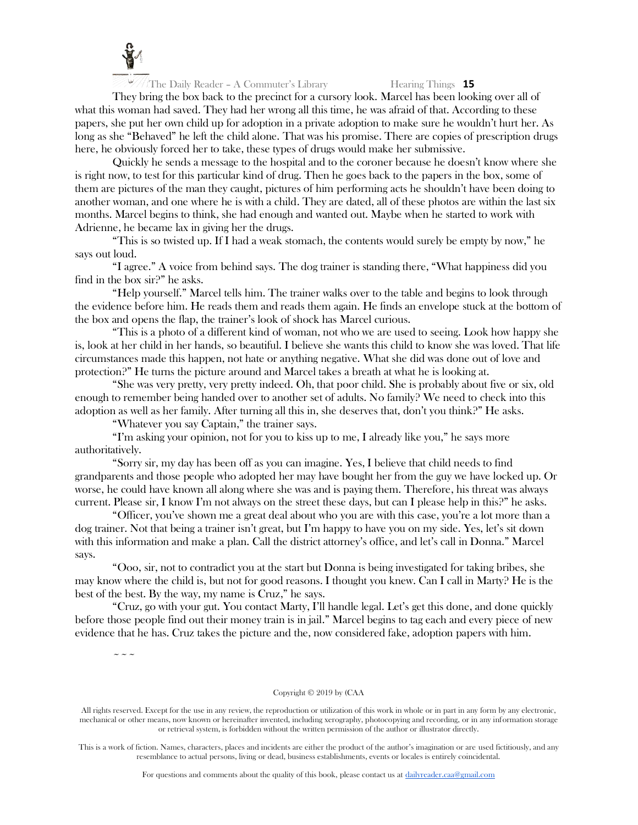

They bring the box back to the precinct for a cursory look. Marcel has been looking over all of what this woman had saved. They had her wrong all this time, he was afraid of that. According to these papers, she put her own child up for adoption in a private adoption to make sure he wouldn't hurt her. As long as she "Behaved" he left the child alone. That was his promise. There are copies of prescription drugs here, he obviously forced her to take, these types of drugs would make her submissive.

Quickly he sends a message to the hospital and to the coroner because he doesn't know where she is right now, to test for this particular kind of drug. Then he goes back to the papers in the box, some of them are pictures of the man they caught, pictures of him performing acts he shouldn't have been doing to another woman, and one where he is with a child. They are dated, all of these photos are within the last six months. Marcel begins to think, she had enough and wanted out. Maybe when he started to work with Adrienne, he became lax in giving her the drugs.

"This is so twisted up. If I had a weak stomach, the contents would surely be empty by now," he says out loud.

"I agree." A voice from behind says. The dog trainer is standing there, "What happiness did you find in the box sir?" he asks.

"Help yourself." Marcel tells him. The trainer walks over to the table and begins to look through the evidence before him. He reads them and reads them again. He finds an envelope stuck at the bottom of the box and opens the flap, the trainer's look of shock has Marcel curious.

"This is a photo of a different kind of woman, not who we are used to seeing. Look how happy she is, look at her child in her hands, so beautiful. I believe she wants this child to know she was loved. That life circumstances made this happen, not hate or anything negative. What she did was done out of love and protection?" He turns the picture around and Marcel takes a breath at what he is looking at.

"She was very pretty, very pretty indeed. Oh, that poor child. She is probably about five or six, old enough to remember being handed over to another set of adults. No family? We need to check into this adoption as well as her family. After turning all this in, she deserves that, don't you think?" He asks.

"Whatever you say Captain," the trainer says.

"I'm asking your opinion, not for you to kiss up to me, I already like you," he says more authoritatively.

"Sorry sir, my day has been off as you can imagine. Yes, I believe that child needs to find grandparents and those people who adopted her may have bought her from the guy we have locked up. Or worse, he could have known all along where she was and is paying them. Therefore, his threat was always current. Please sir, I know I'm not always on the street these days, but can I please help in this?" he asks.

"Officer, you've shown me a great deal about who you are with this case, you're a lot more than a dog trainer. Not that being a trainer isn't great, but I'm happy to have you on my side. Yes, let's sit down with this information and make a plan. Call the district attorney's office, and let's call in Donna." Marcel says.

"Ooo, sir, not to contradict you at the start but Donna is being investigated for taking bribes, she may know where the child is, but not for good reasons. I thought you knew. Can I call in Marty? He is the best of the best. By the way, my name is Cruz," he says.

"Cruz, go with your gut. You contact Marty, I'll handle legal. Let's get this done, and done quickly before those people find out their money train is in jail." Marcel begins to tag each and every piece of new evidence that he has. Cruz takes the picture and the, now considered fake, adoption papers with him.

 $\sim$   $\sim$   $\sim$ 

Copyright © 2019 by (CAA

All rights reserved. Except for the use in any review, the reproduction or utilization of this work in whole or in part in any form by any electronic, mechanical or other means, now known or hereinafter invented, including xerography, photocopying and recording, or in any information storage or retrieval system, is forbidden without the written permission of the author or illustrator directly.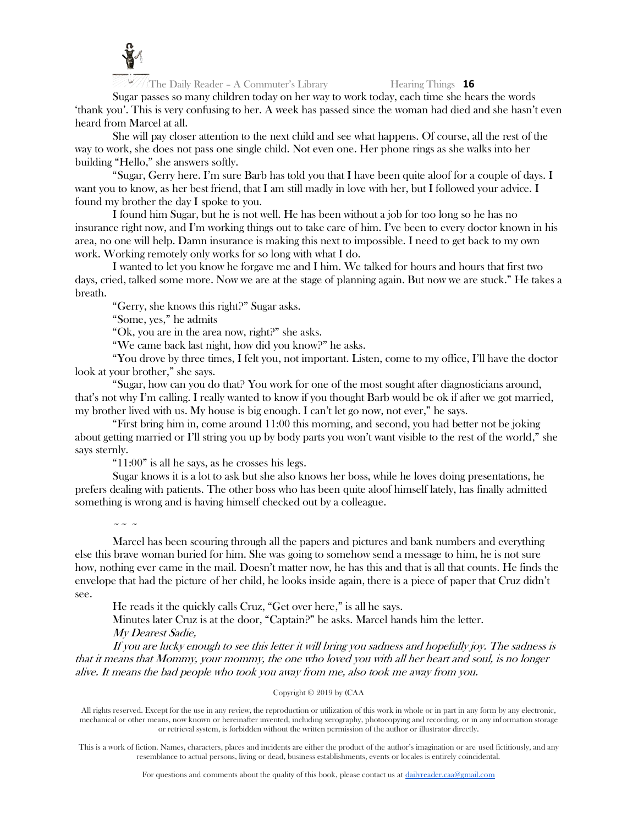

Sugar passes so many children today on her way to work today, each time she hears the words 'thank you'. This is very confusing to her. A week has passed since the woman had died and she hasn't even heard from Marcel at all.

She will pay closer attention to the next child and see what happens. Of course, all the rest of the way to work, she does not pass one single child. Not even one. Her phone rings as she walks into her building "Hello," she answers softly.

"Sugar, Gerry here. I'm sure Barb has told you that I have been quite aloof for a couple of days. I want you to know, as her best friend, that I am still madly in love with her, but I followed your advice. I found my brother the day I spoke to you.

I found him Sugar, but he is not well. He has been without a job for too long so he has no insurance right now, and I'm working things out to take care of him. I've been to every doctor known in his area, no one will help. Damn insurance is making this next to impossible. I need to get back to my own work. Working remotely only works for so long with what I do.

I wanted to let you know he forgave me and I him. We talked for hours and hours that first two days, cried, talked some more. Now we are at the stage of planning again. But now we are stuck." He takes a breath.

"Gerry, she knows this right?" Sugar asks.

"Some, yes," he admits

"Ok, you are in the area now, right?" she asks.

"We came back last night, how did you know?" he asks.

"You drove by three times, I felt you, not important. Listen, come to my office, I'll have the doctor look at your brother," she says.

"Sugar, how can you do that? You work for one of the most sought after diagnosticians around, that's not why I'm calling. I really wanted to know if you thought Barb would be ok if after we got married, my brother lived with us. My house is big enough. I can't let go now, not ever," he says.

"First bring him in, come around 11:00 this morning, and second, you had better not be joking about getting married or I'll string you up by body parts you won't want visible to the rest of the world," she says sternly.

"11:00" is all he says, as he crosses his legs.

Sugar knows it is a lot to ask but she also knows her boss, while he loves doing presentations, he prefers dealing with patients. The other boss who has been quite aloof himself lately, has finally admitted something is wrong and is having himself checked out by a colleague.

 $\sim$   $\sim$   $\sim$ 

Marcel has been scouring through all the papers and pictures and bank numbers and everything else this brave woman buried for him. She was going to somehow send a message to him, he is not sure how, nothing ever came in the mail. Doesn't matter now, he has this and that is all that counts. He finds the envelope that had the picture of her child, he looks inside again, there is a piece of paper that Cruz didn't see.

He reads it the quickly calls Cruz, "Get over here," is all he says.

Minutes later Cruz is at the door, "Captain?" he asks. Marcel hands him the letter. My Dearest Sadie,

If you are lucky enough to see this letter it will bring you sadness and hopefully joy. The sadness is that it means that Mommy, your mommy, the one who loved you with all her heart and soul, is no longer alive. It means the bad people who took you away from me, also took me away from you.

# Copyright © 2019 by (CAA

All rights reserved. Except for the use in any review, the reproduction or utilization of this work in whole or in part in any form by any electronic, mechanical or other means, now known or hereinafter invented, including xerography, photocopying and recording, or in any information storage or retrieval system, is forbidden without the written permission of the author or illustrator directly.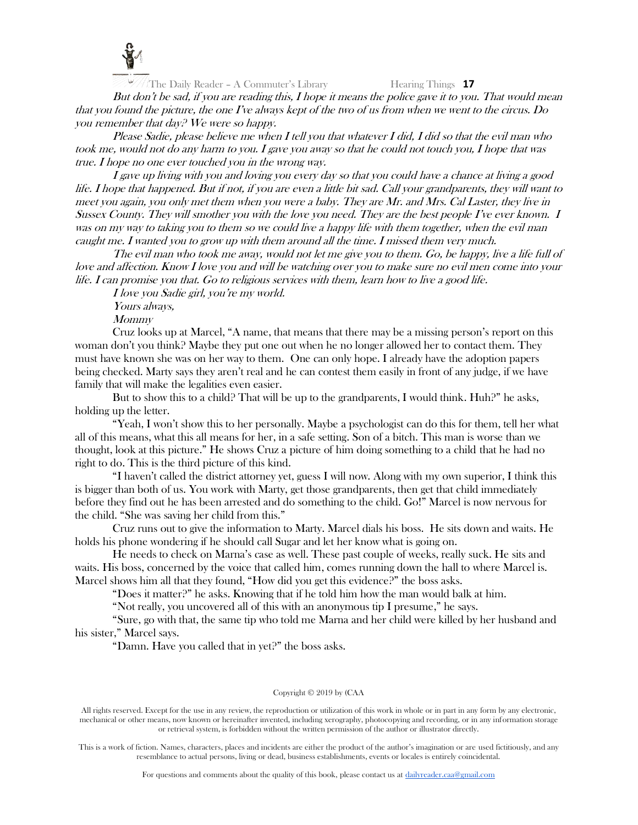

But don't be sad, if you are reading this, I hope it means the police gave it to you. That would mean that you found the picture, the one I've always kept of the two of us from when we went to the circus. Do you remember that day? We were so happy.

Please Sadie, please believe me when I tell you that whatever I did, I did so that the evil man who took me, would not do any harm to you. I gave you away so that he could not touch you, I hope that was true. I hope no one ever touched you in the wrong way.

I gave up living with you and loving you every day so that you could have a chance at living a good life. I hope that happened. But if not, if you are even a little bit sad. Call your grandparents, they will want to meet you again, you only met them when you were a baby. They are Mr. and Mrs. Cal Laster, they live in Sussex County. They will smother you with the love you need. They are the best people I've ever known. I was on my way to taking you to them so we could live a happy life with them together, when the evil man caught me. I wanted you to grow up with them around all the time. I missed them very much.

The evil man who took me away, would not let me give you to them. Go, be happy, live a life full of love and affection. Know I love you and will be watching over you to make sure no evil men come into your life. I can promise you that. Go to religious services with them, learn how to live a good life.

I love you Sadie girl, you're my world.

Yours always,

**Mommy** 

Cruz looks up at Marcel, "A name, that means that there may be a missing person's report on this woman don't you think? Maybe they put one out when he no longer allowed her to contact them. They must have known she was on her way to them. One can only hope. I already have the adoption papers being checked. Marty says they aren't real and he can contest them easily in front of any judge, if we have family that will make the legalities even easier.

But to show this to a child? That will be up to the grandparents, I would think. Huh?" he asks, holding up the letter.

"Yeah, I won't show this to her personally. Maybe a psychologist can do this for them, tell her what all of this means, what this all means for her, in a safe setting. Son of a bitch. This man is worse than we thought, look at this picture." He shows Cruz a picture of him doing something to a child that he had no right to do. This is the third picture of this kind.

"I haven't called the district attorney yet, guess I will now. Along with my own superior, I think this is bigger than both of us. You work with Marty, get those grandparents, then get that child immediately before they find out he has been arrested and do something to the child. Go!" Marcel is now nervous for the child. "She was saving her child from this."

Cruz runs out to give the information to Marty. Marcel dials his boss. He sits down and waits. He holds his phone wondering if he should call Sugar and let her know what is going on.

He needs to check on Marna's case as well. These past couple of weeks, really suck. He sits and waits. His boss, concerned by the voice that called him, comes running down the hall to where Marcel is. Marcel shows him all that they found, "How did you get this evidence?" the boss asks.

"Does it matter?" he asks. Knowing that if he told him how the man would balk at him.

"Not really, you uncovered all of this with an anonymous tip I presume," he says.

"Sure, go with that, the same tip who told me Marna and her child were killed by her husband and his sister," Marcel says.

"Damn. Have you called that in yet?" the boss asks.

### Copyright © 2019 by (CAA

All rights reserved. Except for the use in any review, the reproduction or utilization of this work in whole or in part in any form by any electronic, mechanical or other means, now known or hereinafter invented, including xerography, photocopying and recording, or in any information storage or retrieval system, is forbidden without the written permission of the author or illustrator directly.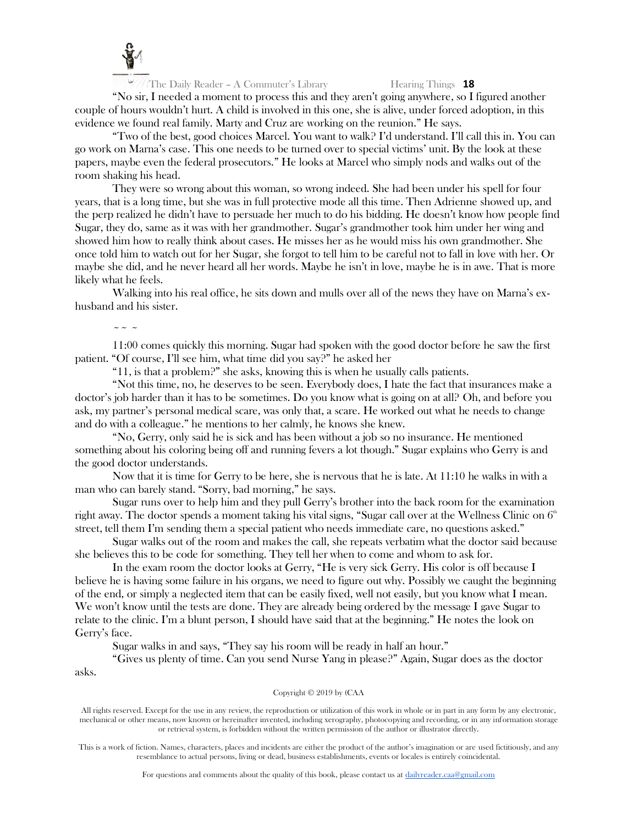

"No sir, I needed a moment to process this and they aren't going anywhere, so I figured another couple of hours wouldn't hurt. A child is involved in this one, she is alive, under forced adoption, in this evidence we found real family. Marty and Cruz are working on the reunion." He says.

"Two of the best, good choices Marcel. You want to walk? I'd understand. I'll call this in. You can go work on Marna's case. This one needs to be turned over to special victims' unit. By the look at these papers, maybe even the federal prosecutors." He looks at Marcel who simply nods and walks out of the room shaking his head.

They were so wrong about this woman, so wrong indeed. She had been under his spell for four years, that is a long time, but she was in full protective mode all this time. Then Adrienne showed up, and the perp realized he didn't have to persuade her much to do his bidding. He doesn't know how people find Sugar, they do, same as it was with her grandmother. Sugar's grandmother took him under her wing and showed him how to really think about cases. He misses her as he would miss his own grandmother. She once told him to watch out for her Sugar, she forgot to tell him to be careful not to fall in love with her. Or maybe she did, and he never heard all her words. Maybe he isn't in love, maybe he is in awe. That is more likely what he feels.

Walking into his real office, he sits down and mulls over all of the news they have on Marna's exhusband and his sister.

 $\sim$  ~ ~

11:00 comes quickly this morning. Sugar had spoken with the good doctor before he saw the first patient. "Of course, I'll see him, what time did you say?" he asked her

"11, is that a problem?" she asks, knowing this is when he usually calls patients.

"Not this time, no, he deserves to be seen. Everybody does, I hate the fact that insurances make a doctor's job harder than it has to be sometimes. Do you know what is going on at all? Oh, and before you ask, my partner's personal medical scare, was only that, a scare. He worked out what he needs to change and do with a colleague." he mentions to her calmly, he knows she knew.

"No, Gerry, only said he is sick and has been without a job so no insurance. He mentioned something about his coloring being off and running fevers a lot though." Sugar explains who Gerry is and the good doctor understands.

Now that it is time for Gerry to be here, she is nervous that he is late. At 11:10 he walks in with a man who can barely stand. "Sorry, bad morning," he says.

Sugar runs over to help him and they pull Gerry's brother into the back room for the examination right away. The doctor spends a moment taking his vital signs, "Sugar call over at the Wellness Clinic on  $6<sup>th</sup>$ street, tell them I'm sending them a special patient who needs immediate care, no questions asked."

Sugar walks out of the room and makes the call, she repeats verbatim what the doctor said because she believes this to be code for something. They tell her when to come and whom to ask for.

In the exam room the doctor looks at Gerry, "He is very sick Gerry. His color is off because I believe he is having some failure in his organs, we need to figure out why. Possibly we caught the beginning of the end, or simply a neglected item that can be easily fixed, well not easily, but you know what I mean. We won't know until the tests are done. They are already being ordered by the message I gave Sugar to relate to the clinic. I'm a blunt person, I should have said that at the beginning." He notes the look on Gerry's face.

Sugar walks in and says, "They say his room will be ready in half an hour."

"Gives us plenty of time. Can you send Nurse Yang in please?" Again, Sugar does as the doctor asks.

### Copyright © 2019 by (CAA

All rights reserved. Except for the use in any review, the reproduction or utilization of this work in whole or in part in any form by any electronic, mechanical or other means, now known or hereinafter invented, including xerography, photocopying and recording, or in any information storage or retrieval system, is forbidden without the written permission of the author or illustrator directly.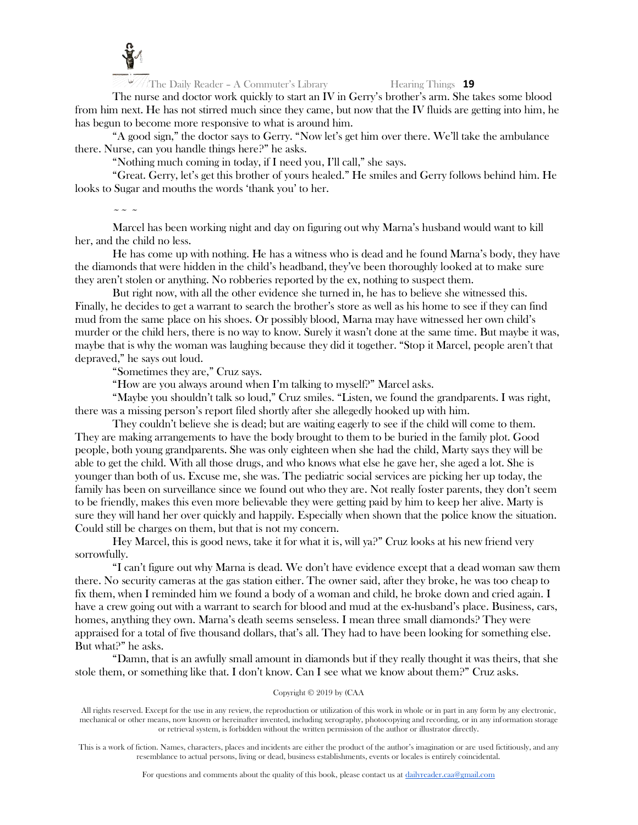

The nurse and doctor work quickly to start an IV in Gerry's brother's arm. She takes some blood from him next. He has not stirred much since they came, but now that the IV fluids are getting into him, he has begun to become more responsive to what is around him.

"A good sign," the doctor says to Gerry. "Now let's get him over there. We'll take the ambulance there. Nurse, can you handle things here?" he asks.

"Nothing much coming in today, if I need you, I'll call," she says.

"Great. Gerry, let's get this brother of yours healed." He smiles and Gerry follows behind him. He looks to Sugar and mouths the words 'thank you' to her.

 $\sim$   $\sim$   $\sim$ 

Marcel has been working night and day on figuring out why Marna's husband would want to kill her, and the child no less.

He has come up with nothing. He has a witness who is dead and he found Marna's body, they have the diamonds that were hidden in the child's headband, they've been thoroughly looked at to make sure they aren't stolen or anything. No robberies reported by the ex, nothing to suspect them.

But right now, with all the other evidence she turned in, he has to believe she witnessed this. Finally, he decides to get a warrant to search the brother's store as well as his home to see if they can find mud from the same place on his shoes. Or possibly blood, Marna may have witnessed her own child's murder or the child hers, there is no way to know. Surely it wasn't done at the same time. But maybe it was, maybe that is why the woman was laughing because they did it together. "Stop it Marcel, people aren't that depraved," he says out loud.

"Sometimes they are," Cruz says.

"How are you always around when I'm talking to myself?" Marcel asks.

"Maybe you shouldn't talk so loud," Cruz smiles. "Listen, we found the grandparents. I was right, there was a missing person's report filed shortly after she allegedly hooked up with him.

They couldn't believe she is dead; but are waiting eagerly to see if the child will come to them. They are making arrangements to have the body brought to them to be buried in the family plot. Good people, both young grandparents. She was only eighteen when she had the child, Marty says they will be able to get the child. With all those drugs, and who knows what else he gave her, she aged a lot. She is younger than both of us. Excuse me, she was. The pediatric social services are picking her up today, the family has been on surveillance since we found out who they are. Not really foster parents, they don't seem to be friendly, makes this even more believable they were getting paid by him to keep her alive. Marty is sure they will hand her over quickly and happily. Especially when shown that the police know the situation. Could still be charges on them, but that is not my concern.

Hey Marcel, this is good news, take it for what it is, will ya?" Cruz looks at his new friend very sorrowfully.

"I can't figure out why Marna is dead. We don't have evidence except that a dead woman saw them there. No security cameras at the gas station either. The owner said, after they broke, he was too cheap to fix them, when I reminded him we found a body of a woman and child, he broke down and cried again. I have a crew going out with a warrant to search for blood and mud at the ex-husband's place. Business, cars, homes, anything they own. Marna's death seems senseless. I mean three small diamonds? They were appraised for a total of five thousand dollars, that's all. They had to have been looking for something else. But what?" he asks.

"Damn, that is an awfully small amount in diamonds but if they really thought it was theirs, that she stole them, or something like that. I don't know. Can I see what we know about them?" Cruz asks.

# Copyright © 2019 by (CAA

All rights reserved. Except for the use in any review, the reproduction or utilization of this work in whole or in part in any form by any electronic, mechanical or other means, now known or hereinafter invented, including xerography, photocopying and recording, or in any information storage or retrieval system, is forbidden without the written permission of the author or illustrator directly.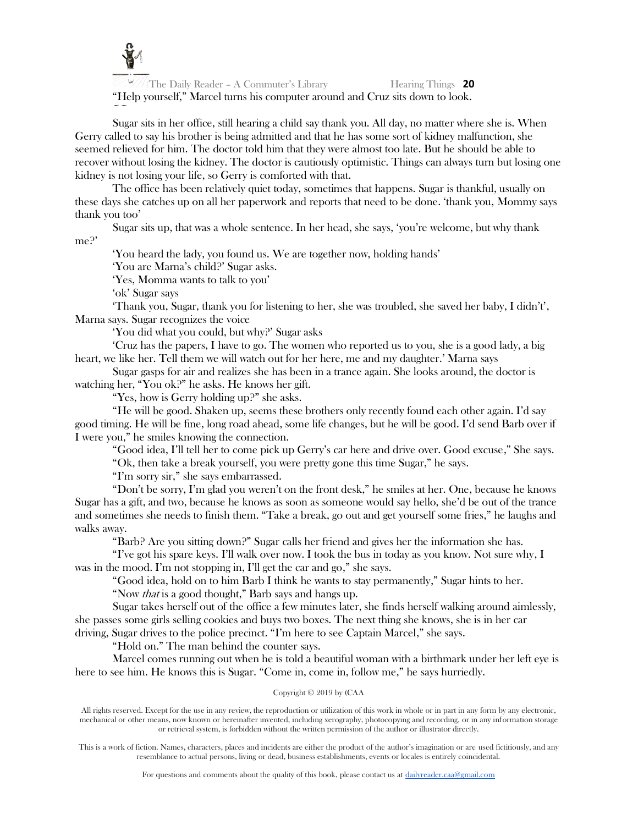

The Daily Reader – A Commuter's Library Hearing Things **20** "Help yourself," Marcel turns his computer around and Cruz sits down to look.  $\sim$   $\sim$ 

Sugar sits in her office, still hearing a child say thank you. All day, no matter where she is. When Gerry called to say his brother is being admitted and that he has some sort of kidney malfunction, she seemed relieved for him. The doctor told him that they were almost too late. But he should be able to recover without losing the kidney. The doctor is cautiously optimistic. Things can always turn but losing one kidney is not losing your life, so Gerry is comforted with that.

The office has been relatively quiet today, sometimes that happens. Sugar is thankful, usually on these days she catches up on all her paperwork and reports that need to be done. 'thank you, Mommy says thank you too'

Sugar sits up, that was a whole sentence. In her head, she says, 'you're welcome, but why thank me?'

'You heard the lady, you found us. We are together now, holding hands'

'You are Marna's child?' Sugar asks.

'Yes, Momma wants to talk to you'

'ok' Sugar says

Thank you, Sugar, thank you for listening to her, she was troubled, she saved her baby, I didn't', Marna says. Sugar recognizes the voice

'You did what you could, but why?' Sugar asks

'Cruz has the papers, I have to go. The women who reported us to you, she is a good lady, a big heart, we like her. Tell them we will watch out for her here, me and my daughter.' Marna says

Sugar gasps for air and realizes she has been in a trance again. She looks around, the doctor is watching her, "You ok?" he asks. He knows her gift.

"Yes, how is Gerry holding up?" she asks.

"He will be good. Shaken up, seems these brothers only recently found each other again. I'd say good timing. He will be fine, long road ahead, some life changes, but he will be good. I'd send Barb over if I were you," he smiles knowing the connection.

"Good idea, I'll tell her to come pick up Gerry's car here and drive over. Good excuse," She says.

"Ok, then take a break yourself, you were pretty gone this time Sugar," he says.

"I'm sorry sir," she says embarrassed.

"Don't be sorry, I'm glad you weren't on the front desk," he smiles at her. One, because he knows Sugar has a gift, and two, because he knows as soon as someone would say hello, she'd be out of the trance and sometimes she needs to finish them. "Take a break, go out and get yourself some fries," he laughs and walks away.

"Barb? Are you sitting down?" Sugar calls her friend and gives her the information she has.

"I've got his spare keys. I'll walk over now. I took the bus in today as you know. Not sure why, I was in the mood. I'm not stopping in, I'll get the car and go," she says.

"Good idea, hold on to him Barb I think he wants to stay permanently," Sugar hints to her. "Now that is a good thought," Barb says and hangs up.

Sugar takes herself out of the office a few minutes later, she finds herself walking around aimlessly, she passes some girls selling cookies and buys two boxes. The next thing she knows, she is in her car driving, Sugar drives to the police precinct. "I'm here to see Captain Marcel," she says.

"Hold on." The man behind the counter says.

Marcel comes running out when he is told a beautiful woman with a birthmark under her left eye is here to see him. He knows this is Sugar. "Come in, come in, follow me," he says hurriedly.

# Copyright © 2019 by (CAA

All rights reserved. Except for the use in any review, the reproduction or utilization of this work in whole or in part in any form by any electronic, mechanical or other means, now known or hereinafter invented, including xerography, photocopying and recording, or in any information storage or retrieval system, is forbidden without the written permission of the author or illustrator directly.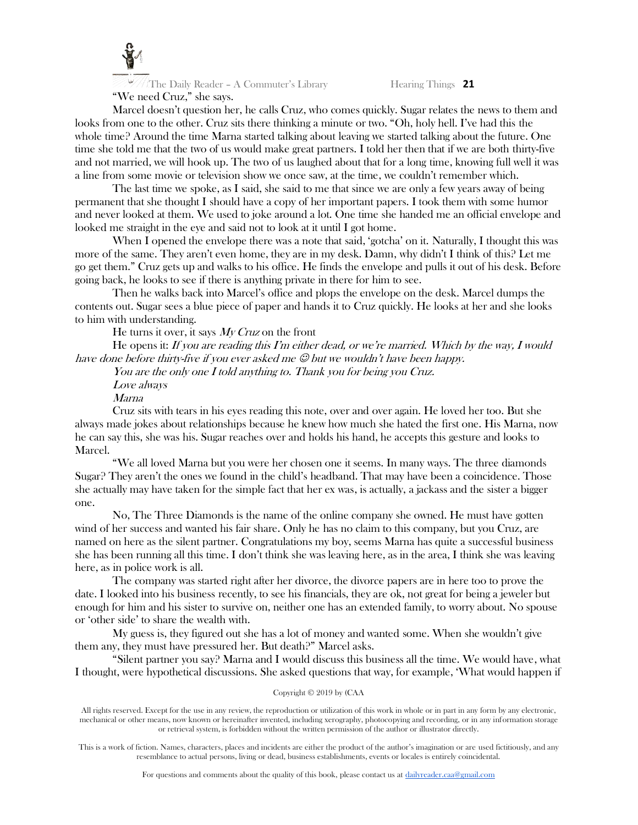

Marcel doesn't question her, he calls Cruz, who comes quickly. Sugar relates the news to them and looks from one to the other. Cruz sits there thinking a minute or two. "Oh, holy hell. I've had this the whole time? Around the time Marna started talking about leaving we started talking about the future. One time she told me that the two of us would make great partners. I told her then that if we are both thirty-five and not married, we will hook up. The two of us laughed about that for a long time, knowing full well it was a line from some movie or television show we once saw, at the time, we couldn't remember which.

The last time we spoke, as I said, she said to me that since we are only a few years away of being permanent that she thought I should have a copy of her important papers. I took them with some humor and never looked at them. We used to joke around a lot. One time she handed me an official envelope and looked me straight in the eye and said not to look at it until I got home.

When I opened the envelope there was a note that said, 'gotcha' on it. Naturally, I thought this was more of the same. They aren't even home, they are in my desk. Damn, why didn't I think of this? Let me go get them." Cruz gets up and walks to his office. He finds the envelope and pulls it out of his desk. Before going back, he looks to see if there is anything private in there for him to see.

Then he walks back into Marcel's office and plops the envelope on the desk. Marcel dumps the contents out. Sugar sees a blue piece of paper and hands it to Cruz quickly. He looks at her and she looks to him with understanding.

He turns it over, it says  $My Cruz$  on the front

He opens it: If you are reading this  $\Gamma$ m either dead, or we're married. Which by the way, I would have done before thirty-five if you ever asked me  $\mathcal O$  but we wouldn't have been happy.

You are the only one I told anything to. Thank you for being you Cruz.

Love always

Marna

Cruz sits with tears in his eyes reading this note, over and over again. He loved her too. But she always made jokes about relationships because he knew how much she hated the first one. His Marna, now he can say this, she was his. Sugar reaches over and holds his hand, he accepts this gesture and looks to Marcel.

"We all loved Marna but you were her chosen one it seems. In many ways. The three diamonds Sugar? They aren't the ones we found in the child's headband. That may have been a coincidence. Those she actually may have taken for the simple fact that her ex was, is actually, a jackass and the sister a bigger one.

No, The Three Diamonds is the name of the online company she owned. He must have gotten wind of her success and wanted his fair share. Only he has no claim to this company, but you Cruz, are named on here as the silent partner. Congratulations my boy, seems Marna has quite a successful business she has been running all this time. I don't think she was leaving here, as in the area, I think she was leaving here, as in police work is all.

The company was started right after her divorce, the divorce papers are in here too to prove the date. I looked into his business recently, to see his financials, they are ok, not great for being a jeweler but enough for him and his sister to survive on, neither one has an extended family, to worry about. No spouse or 'other side' to share the wealth with.

My guess is, they figured out she has a lot of money and wanted some. When she wouldn't give them any, they must have pressured her. But death?" Marcel asks.

"Silent partner you say? Marna and I would discuss this business all the time. We would have, what I thought, were hypothetical discussions. She asked questions that way, for example, 'What would happen if

### Copyright © 2019 by (CAA

All rights reserved. Except for the use in any review, the reproduction or utilization of this work in whole or in part in any form by any electronic, mechanical or other means, now known or hereinafter invented, including xerography, photocopying and recording, or in any information storage or retrieval system, is forbidden without the written permission of the author or illustrator directly.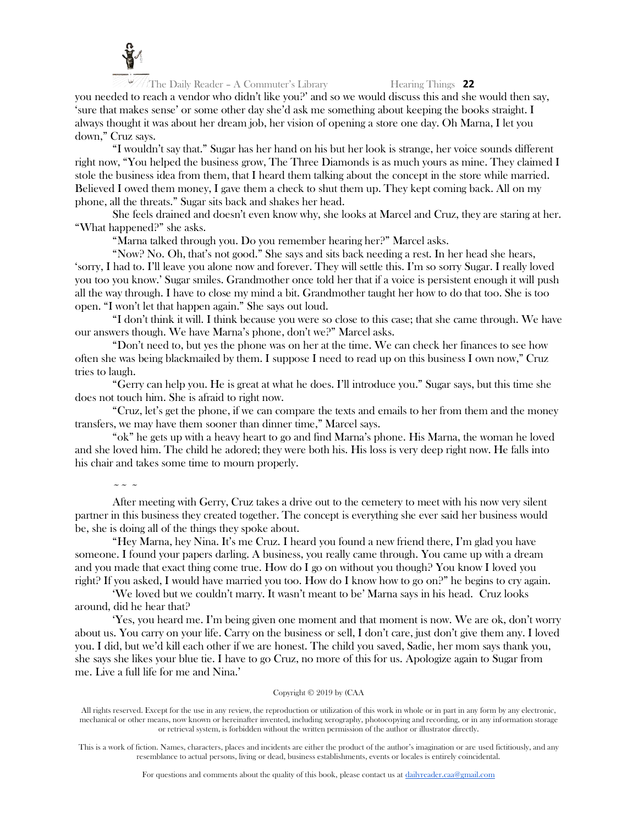

you needed to reach a vendor who didn't like you?' and so we would discuss this and she would then say, 'sure that makes sense' or some other day she'd ask me something about keeping the books straight. I always thought it was about her dream job, her vision of opening a store one day. Oh Marna, I let you down," Cruz says.

"I wouldn't say that." Sugar has her hand on his but her look is strange, her voice sounds different right now, "You helped the business grow, The Three Diamonds is as much yours as mine. They claimed I stole the business idea from them, that I heard them talking about the concept in the store while married. Believed I owed them money, I gave them a check to shut them up. They kept coming back. All on my phone, all the threats." Sugar sits back and shakes her head.

She feels drained and doesn't even know why, she looks at Marcel and Cruz, they are staring at her. "What happened?" she asks.

"Marna talked through you. Do you remember hearing her?" Marcel asks.

"Now? No. Oh, that's not good." She says and sits back needing a rest. In her head she hears, 'sorry, I had to. I'll leave you alone now and forever. They will settle this. I'm so sorry Sugar. I really loved you too you know.' Sugar smiles. Grandmother once told her that if a voice is persistent enough it will push all the way through. I have to close my mind a bit. Grandmother taught her how to do that too. She is too open. "I won't let that happen again." She says out loud.

"I don't think it will. I think because you were so close to this case; that she came through. We have our answers though. We have Marna's phone, don't we?" Marcel asks.

"Don't need to, but yes the phone was on her at the time. We can check her finances to see how often she was being blackmailed by them. I suppose I need to read up on this business I own now," Cruz tries to laugh.

"Gerry can help you. He is great at what he does. I'll introduce you." Sugar says, but this time she does not touch him. She is afraid to right now.

"Cruz, let's get the phone, if we can compare the texts and emails to her from them and the money transfers, we may have them sooner than dinner time," Marcel says.

"ok" he gets up with a heavy heart to go and find Marna's phone. His Marna, the woman he loved and she loved him. The child he adored; they were both his. His loss is very deep right now. He falls into his chair and takes some time to mourn properly.

 $\sim$   $\sim$   $\sim$ 

After meeting with Gerry, Cruz takes a drive out to the cemetery to meet with his now very silent partner in this business they created together. The concept is everything she ever said her business would be, she is doing all of the things they spoke about.

"Hey Marna, hey Nina. It's me Cruz. I heard you found a new friend there, I'm glad you have someone. I found your papers darling. A business, you really came through. You came up with a dream and you made that exact thing come true. How do I go on without you though? You know I loved you right? If you asked, I would have married you too. How do I know how to go on?" he begins to cry again.

'We loved but we couldn't marry. It wasn't meant to be' Marna says in his head. Cruz looks around, did he hear that?

'Yes, you heard me. I'm being given one moment and that moment is now. We are ok, don't worry about us. You carry on your life. Carry on the business or sell, I don't care, just don't give them any. I loved you. I did, but we'd kill each other if we are honest. The child you saved, Sadie, her mom says thank you, she says she likes your blue tie. I have to go Cruz, no more of this for us. Apologize again to Sugar from me. Live a full life for me and Nina.'

### Copyright © 2019 by (CAA

All rights reserved. Except for the use in any review, the reproduction or utilization of this work in whole or in part in any form by any electronic, mechanical or other means, now known or hereinafter invented, including xerography, photocopying and recording, or in any information storage or retrieval system, is forbidden without the written permission of the author or illustrator directly.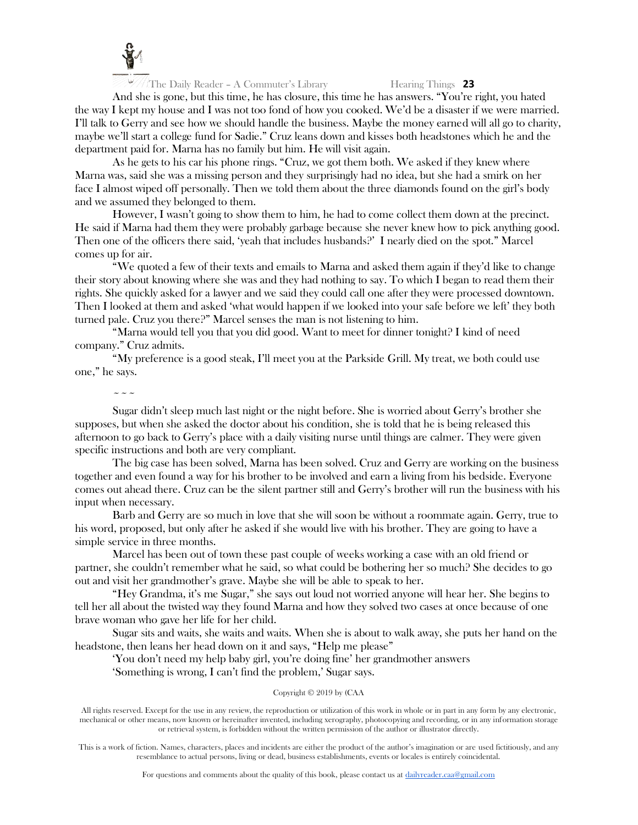

And she is gone, but this time, he has closure, this time he has answers. "You're right, you hated the way I kept my house and I was not too fond of how you cooked. We'd be a disaster if we were married. I'll talk to Gerry and see how we should handle the business. Maybe the money earned will all go to charity, maybe we'll start a college fund for Sadie." Cruz leans down and kisses both headstones which he and the department paid for. Marna has no family but him. He will visit again.

As he gets to his car his phone rings. "Cruz, we got them both. We asked if they knew where Marna was, said she was a missing person and they surprisingly had no idea, but she had a smirk on her face I almost wiped off personally. Then we told them about the three diamonds found on the girl's body and we assumed they belonged to them.

However, I wasn't going to show them to him, he had to come collect them down at the precinct. He said if Marna had them they were probably garbage because she never knew how to pick anything good. Then one of the officers there said, 'yeah that includes husbands?' I nearly died on the spot." Marcel comes up for air.

"We quoted a few of their texts and emails to Marna and asked them again if they'd like to change their story about knowing where she was and they had nothing to say. To which I began to read them their rights. She quickly asked for a lawyer and we said they could call one after they were processed downtown. Then I looked at them and asked 'what would happen if we looked into your safe before we left' they both turned pale. Cruz you there?" Marcel senses the man is not listening to him.

"Marna would tell you that you did good. Want to meet for dinner tonight? I kind of need company." Cruz admits.

"My preference is a good steak, I'll meet you at the Parkside Grill. My treat, we both could use one," he says.

 $\sim$   $\sim$   $\sim$ 

Sugar didn't sleep much last night or the night before. She is worried about Gerry's brother she supposes, but when she asked the doctor about his condition, she is told that he is being released this afternoon to go back to Gerry's place with a daily visiting nurse until things are calmer. They were given specific instructions and both are very compliant.

The big case has been solved, Marna has been solved. Cruz and Gerry are working on the business together and even found a way for his brother to be involved and earn a living from his bedside. Everyone comes out ahead there. Cruz can be the silent partner still and Gerry's brother will run the business with his input when necessary.

Barb and Gerry are so much in love that she will soon be without a roommate again. Gerry, true to his word, proposed, but only after he asked if she would live with his brother. They are going to have a simple service in three months.

Marcel has been out of town these past couple of weeks working a case with an old friend or partner, she couldn't remember what he said, so what could be bothering her so much? She decides to go out and visit her grandmother's grave. Maybe she will be able to speak to her.

"Hey Grandma, it's me Sugar," she says out loud not worried anyone will hear her. She begins to tell her all about the twisted way they found Marna and how they solved two cases at once because of one brave woman who gave her life for her child.

Sugar sits and waits, she waits and waits. When she is about to walk away, she puts her hand on the headstone, then leans her head down on it and says, "Help me please"

'You don't need my help baby girl, you're doing fine' her grandmother answers

'Something is wrong, I can't find the problem,' Sugar says.

# Copyright © 2019 by (CAA

All rights reserved. Except for the use in any review, the reproduction or utilization of this work in whole or in part in any form by any electronic, mechanical or other means, now known or hereinafter invented, including xerography, photocopying and recording, or in any information storage or retrieval system, is forbidden without the written permission of the author or illustrator directly.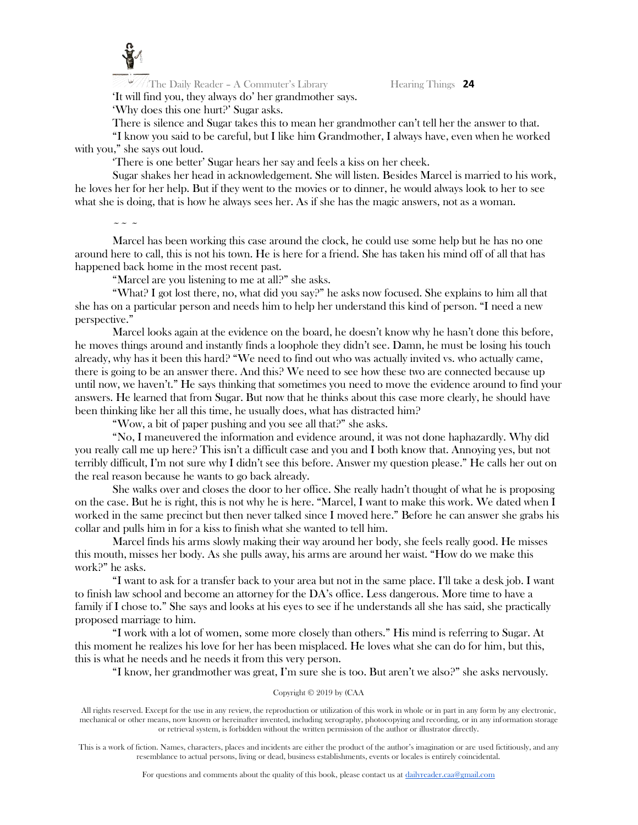

The Daily Reader – A Commuter's Library Hearing Things 24 'It will find you, they always do' her grandmother says.

'Why does this one hurt?' Sugar asks.

There is silence and Sugar takes this to mean her grandmother can't tell her the answer to that.

"I know you said to be careful, but I like him Grandmother, I always have, even when he worked with you," she says out loud.

'There is one better' Sugar hears her say and feels a kiss on her cheek.

Sugar shakes her head in acknowledgement. She will listen. Besides Marcel is married to his work, he loves her for her help. But if they went to the movies or to dinner, he would always look to her to see what she is doing, that is how he always sees her. As if she has the magic answers, not as a woman.

 $\sim$   $\sim$   $\sim$ 

Marcel has been working this case around the clock, he could use some help but he has no one around here to call, this is not his town. He is here for a friend. She has taken his mind off of all that has happened back home in the most recent past.

"Marcel are you listening to me at all?" she asks.

"What? I got lost there, no, what did you say?" he asks now focused. She explains to him all that she has on a particular person and needs him to help her understand this kind of person. "I need a new perspective."

Marcel looks again at the evidence on the board, he doesn't know why he hasn't done this before, he moves things around and instantly finds a loophole they didn't see. Damn, he must be losing his touch already, why has it been this hard? "We need to find out who was actually invited vs. who actually came, there is going to be an answer there. And this? We need to see how these two are connected because up until now, we haven't." He says thinking that sometimes you need to move the evidence around to find your answers. He learned that from Sugar. But now that he thinks about this case more clearly, he should have been thinking like her all this time, he usually does, what has distracted him?

"Wow, a bit of paper pushing and you see all that?" she asks.

"No, I maneuvered the information and evidence around, it was not done haphazardly. Why did you really call me up here? This isn't a difficult case and you and I both know that. Annoying yes, but not terribly difficult, I'm not sure why I didn't see this before. Answer my question please." He calls her out on the real reason because he wants to go back already.

She walks over and closes the door to her office. She really hadn't thought of what he is proposing on the case. But he is right, this is not why he is here. "Marcel, I want to make this work. We dated when I worked in the same precinct but then never talked since I moved here." Before he can answer she grabs his collar and pulls him in for a kiss to finish what she wanted to tell him.

Marcel finds his arms slowly making their way around her body, she feels really good. He misses this mouth, misses her body. As she pulls away, his arms are around her waist. "How do we make this work?" he asks.

"I want to ask for a transfer back to your area but not in the same place. I'll take a desk job. I want to finish law school and become an attorney for the DA's office. Less dangerous. More time to have a family if I chose to." She says and looks at his eyes to see if he understands all she has said, she practically proposed marriage to him.

"I work with a lot of women, some more closely than others." His mind is referring to Sugar. At this moment he realizes his love for her has been misplaced. He loves what she can do for him, but this, this is what he needs and he needs it from this very person.

"I know, her grandmother was great, I'm sure she is too. But aren't we also?" she asks nervously.

### Copyright © 2019 by (CAA

All rights reserved. Except for the use in any review, the reproduction or utilization of this work in whole or in part in any form by any electronic, mechanical or other means, now known or hereinafter invented, including xerography, photocopying and recording, or in any information storage or retrieval system, is forbidden without the written permission of the author or illustrator directly.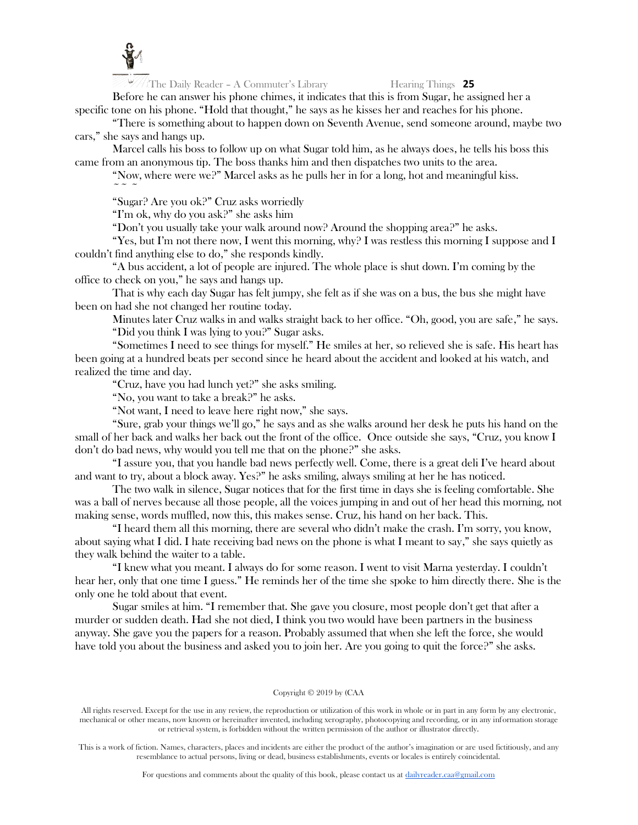![](_page_25_Picture_0.jpeg)

Before he can answer his phone chimes, it indicates that this is from Sugar, he assigned her a specific tone on his phone. "Hold that thought," he says as he kisses her and reaches for his phone.

"There is something about to happen down on Seventh Avenue, send someone around, maybe two cars," she says and hangs up.

Marcel calls his boss to follow up on what Sugar told him, as he always does, he tells his boss this came from an anonymous tip. The boss thanks him and then dispatches two units to the area.

"Now, where were we?" Marcel asks as he pulls her in for a long, hot and meaningful kiss.  $\sim$   $\sim$   $\sim$ 

"Sugar? Are you ok?" Cruz asks worriedly

"I'm ok, why do you ask?" she asks him

"Don't you usually take your walk around now? Around the shopping area?" he asks.

"Yes, but I'm not there now, I went this morning, why? I was restless this morning I suppose and I couldn't find anything else to do," she responds kindly.

"A bus accident, a lot of people are injured. The whole place is shut down. I'm coming by the office to check on you," he says and hangs up.

That is why each day Sugar has felt jumpy, she felt as if she was on a bus, the bus she might have been on had she not changed her routine today.

Minutes later Cruz walks in and walks straight back to her office. "Oh, good, you are safe," he says. "Did you think I was lying to you?" Sugar asks.

"Sometimes I need to see things for myself." He smiles at her, so relieved she is safe. His heart has been going at a hundred beats per second since he heard about the accident and looked at his watch, and realized the time and day.

"Cruz, have you had lunch yet?" she asks smiling.

"No, you want to take a break?" he asks.

"Not want, I need to leave here right now," she says.

"Sure, grab your things we'll go," he says and as she walks around her desk he puts his hand on the small of her back and walks her back out the front of the office. Once outside she says, "Cruz, you know I don't do bad news, why would you tell me that on the phone?" she asks.

"I assure you, that you handle bad news perfectly well. Come, there is a great deli I've heard about and want to try, about a block away. Yes?" he asks smiling, always smiling at her he has noticed.

The two walk in silence, Sugar notices that for the first time in days she is feeling comfortable. She was a ball of nerves because all those people, all the voices jumping in and out of her head this morning, not making sense, words muffled, now this, this makes sense. Cruz, his hand on her back. This.

"I heard them all this morning, there are several who didn't make the crash. I'm sorry, you know, about saying what I did. I hate receiving bad news on the phone is what I meant to say," she says quietly as they walk behind the waiter to a table.

"I knew what you meant. I always do for some reason. I went to visit Marna yesterday. I couldn't hear her, only that one time I guess." He reminds her of the time she spoke to him directly there. She is the only one he told about that event.

Sugar smiles at him. "I remember that. She gave you closure, most people don't get that after a murder or sudden death. Had she not died, I think you two would have been partners in the business anyway. She gave you the papers for a reason. Probably assumed that when she left the force, she would have told you about the business and asked you to join her. Are you going to quit the force?" she asks.

### Copyright © 2019 by (CAA

All rights reserved. Except for the use in any review, the reproduction or utilization of this work in whole or in part in any form by any electronic, mechanical or other means, now known or hereinafter invented, including xerography, photocopying and recording, or in any information storage or retrieval system, is forbidden without the written permission of the author or illustrator directly.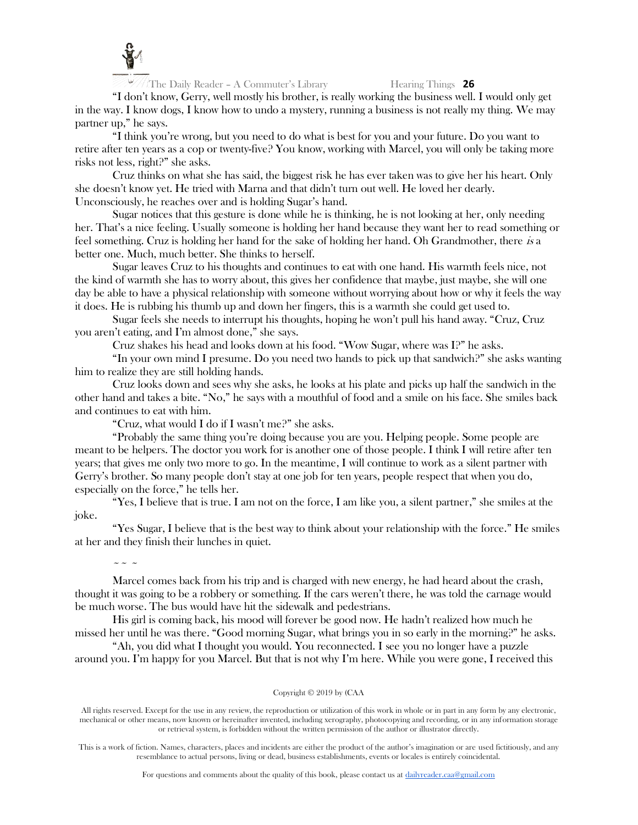![](_page_26_Picture_0.jpeg)

"I don't know, Gerry, well mostly his brother, is really working the business well. I would only get in the way. I know dogs, I know how to undo a mystery, running a business is not really my thing. We may partner up," he says.

"I think you're wrong, but you need to do what is best for you and your future. Do you want to retire after ten years as a cop or twenty-five? You know, working with Marcel, you will only be taking more risks not less, right?" she asks.

Cruz thinks on what she has said, the biggest risk he has ever taken was to give her his heart. Only she doesn't know yet. He tried with Marna and that didn't turn out well. He loved her dearly. Unconsciously, he reaches over and is holding Sugar's hand.

Sugar notices that this gesture is done while he is thinking, he is not looking at her, only needing her. That's a nice feeling. Usually someone is holding her hand because they want her to read something or feel something. Cruz is holding her hand for the sake of holding her hand. Oh Grandmother, there is a better one. Much, much better. She thinks to herself.

Sugar leaves Cruz to his thoughts and continues to eat with one hand. His warmth feels nice, not the kind of warmth she has to worry about, this gives her confidence that maybe, just maybe, she will one day be able to have a physical relationship with someone without worrying about how or why it feels the way it does. He is rubbing his thumb up and down her fingers, this is a warmth she could get used to.

Sugar feels she needs to interrupt his thoughts, hoping he won't pull his hand away. "Cruz, Cruz you aren't eating, and I'm almost done," she says.

Cruz shakes his head and looks down at his food. "Wow Sugar, where was I?" he asks.

"In your own mind I presume. Do you need two hands to pick up that sandwich?" she asks wanting him to realize they are still holding hands.

Cruz looks down and sees why she asks, he looks at his plate and picks up half the sandwich in the other hand and takes a bite. "No," he says with a mouthful of food and a smile on his face. She smiles back and continues to eat with him.

"Cruz, what would I do if I wasn't me?" she asks.

"Probably the same thing you're doing because you are you. Helping people. Some people are meant to be helpers. The doctor you work for is another one of those people. I think I will retire after ten years; that gives me only two more to go. In the meantime, I will continue to work as a silent partner with Gerry's brother. So many people don't stay at one job for ten years, people respect that when you do, especially on the force," he tells her.

"Yes, I believe that is true. I am not on the force, I am like you, a silent partner," she smiles at the joke.

"Yes Sugar, I believe that is the best way to think about your relationship with the force." He smiles at her and they finish their lunches in quiet.

 $\sim$   $\sim$   $\sim$ 

Marcel comes back from his trip and is charged with new energy, he had heard about the crash, thought it was going to be a robbery or something. If the cars weren't there, he was told the carnage would be much worse. The bus would have hit the sidewalk and pedestrians.

His girl is coming back, his mood will forever be good now. He hadn't realized how much he missed her until he was there. "Good morning Sugar, what brings you in so early in the morning?" he asks.

"Ah, you did what I thought you would. You reconnected. I see you no longer have a puzzle around you. I'm happy for you Marcel. But that is not why I'm here. While you were gone, I received this

### Copyright © 2019 by (CAA

All rights reserved. Except for the use in any review, the reproduction or utilization of this work in whole or in part in any form by any electronic, mechanical or other means, now known or hereinafter invented, including xerography, photocopying and recording, or in any information storage or retrieval system, is forbidden without the written permission of the author or illustrator directly.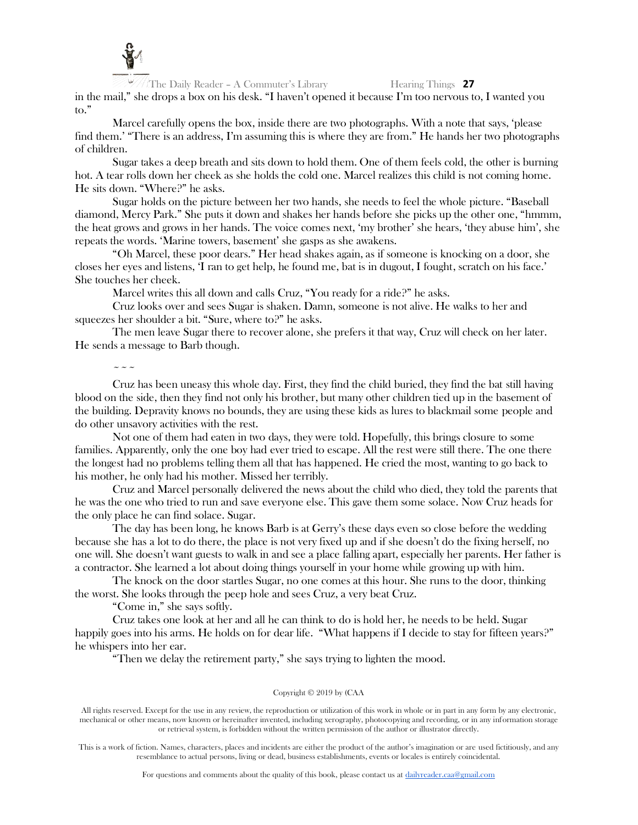![](_page_27_Picture_0.jpeg)

The Daily Reader – A Commuter's Library Hearing Things **27** in the mail," she drops a box on his desk. "I haven't opened it because I'm too nervous to, I wanted you to."

Marcel carefully opens the box, inside there are two photographs. With a note that says, 'please find them.' "There is an address, I'm assuming this is where they are from." He hands her two photographs of children.

Sugar takes a deep breath and sits down to hold them. One of them feels cold, the other is burning hot. A tear rolls down her cheek as she holds the cold one. Marcel realizes this child is not coming home. He sits down. "Where?" he asks.

Sugar holds on the picture between her two hands, she needs to feel the whole picture. "Baseball diamond, Mercy Park." She puts it down and shakes her hands before she picks up the other one, "hmmm, the heat grows and grows in her hands. The voice comes next, 'my brother' she hears, 'they abuse him', she repeats the words. 'Marine towers, basement' she gasps as she awakens.

"Oh Marcel, these poor dears." Her head shakes again, as if someone is knocking on a door, she closes her eyes and listens, 'I ran to get help, he found me, bat is in dugout, I fought, scratch on his face.' She touches her cheek.

Marcel writes this all down and calls Cruz, "You ready for a ride?" he asks.

Cruz looks over and sees Sugar is shaken. Damn, someone is not alive. He walks to her and squeezes her shoulder a bit. "Sure, where to?" he asks.

The men leave Sugar there to recover alone, she prefers it that way, Cruz will check on her later. He sends a message to Barb though.

 $\sim \sim \sim$ 

Cruz has been uneasy this whole day. First, they find the child buried, they find the bat still having blood on the side, then they find not only his brother, but many other children tied up in the basement of the building. Depravity knows no bounds, they are using these kids as lures to blackmail some people and do other unsavory activities with the rest.

Not one of them had eaten in two days, they were told. Hopefully, this brings closure to some families. Apparently, only the one boy had ever tried to escape. All the rest were still there. The one there the longest had no problems telling them all that has happened. He cried the most, wanting to go back to his mother, he only had his mother. Missed her terribly.

Cruz and Marcel personally delivered the news about the child who died, they told the parents that he was the one who tried to run and save everyone else. This gave them some solace. Now Cruz heads for the only place he can find solace. Sugar.

The day has been long, he knows Barb is at Gerry's these days even so close before the wedding because she has a lot to do there, the place is not very fixed up and if she doesn't do the fixing herself, no one will. She doesn't want guests to walk in and see a place falling apart, especially her parents. Her father is a contractor. She learned a lot about doing things yourself in your home while growing up with him.

The knock on the door startles Sugar, no one comes at this hour. She runs to the door, thinking the worst. She looks through the peep hole and sees Cruz, a very beat Cruz.

"Come in," she says softly.

Cruz takes one look at her and all he can think to do is hold her, he needs to be held. Sugar happily goes into his arms. He holds on for dear life. "What happens if I decide to stay for fifteen years?" he whispers into her ear.

"Then we delay the retirement party," she says trying to lighten the mood.

### Copyright © 2019 by (CAA

All rights reserved. Except for the use in any review, the reproduction or utilization of this work in whole or in part in any form by any electronic, mechanical or other means, now known or hereinafter invented, including xerography, photocopying and recording, or in any information storage or retrieval system, is forbidden without the written permission of the author or illustrator directly.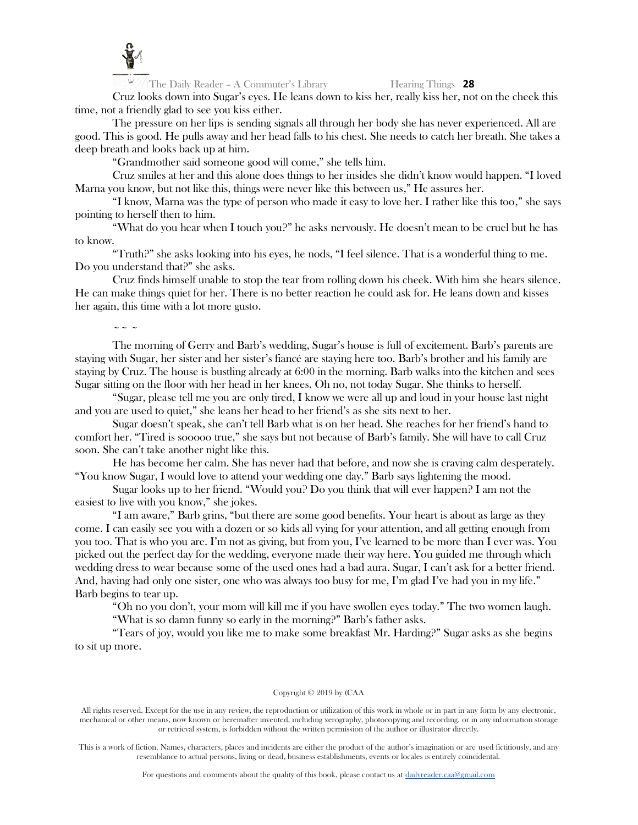![](_page_28_Picture_0.jpeg)

Cruz looks down into Sugar's eyes. He leans down to kiss her, really kiss her, not on the cheek this time, not a friendly glad to see you kiss either.

The pressure on her lips is sending signals all through her body she has never experienced. All are good. This is good. He pulls away and her head falls to his chest. She needs to catch her breath. She takes a deep breath and looks back up at him.

"Grandmother said someone good will come," she tells him.

Cruz smiles at her and this alone does things to her insides she didn't know would happen. "I loved Marna you know, but not like this, things were never like this between us," He assures her.

"I know, Marna was the type of person who made it easy to love her. I rather like this too," she says pointing to herself then to him.

"What do you hear when I touch you?" he asks nervously. He doesn't mean to be cruel but he has to know.

"Truth?" she asks looking into his eyes, he nods, "I feel silence. That is a wonderful thing to me. Do you understand that?" she asks.

Cruz finds himself unable to stop the tear from rolling down his cheek. With him she hears silence. He can make things quiet for her. There is no better reaction he could ask for. He leans down and kisses her again, this time with a lot more gusto.

# $\sim$   $\sim$   $\sim$

The morning of Gerry and Barb's wedding, Sugar's house is full of excitement. Barb's parents are staying with Sugar, her sister and her sister's fiancé are staying here too. Barb's brother and his family are staying by Cruz. The house is bustling already at 6:00 in the morning. Barb walks into the kitchen and sees Sugar sitting on the floor with her head in her knees. Oh no, not today Sugar. She thinks to herself.

"Sugar, please tell me you are only tired, I know we were all up and loud in your house last night and you are used to quiet," she leans her head to her friend's as she sits next to her.

Sugar doesn't speak, she can't tell Barb what is on her head. She reaches for her friend's hand to comfort her. "Tired is sooooo true," she says but not because of Barb's family. She will have to call Cruz soon. She can't take another night like this.

He has become her calm. She has never had that before, and now she is craving calm desperately. "You know Sugar, I would love to attend your wedding one day." Barb says lightening the mood.

Sugar looks up to her friend. "Would you? Do you think that will ever happen? I am not the easiest to live with you know," she jokes.

"I am aware," Barb grins, "but there are some good benefits. Your heart is about as large as they come. I can easily see you with a dozen or so kids all vying for your attention, and all getting enough from you too. That is who you are. I'm not as giving, but from you, I've learned to be more than I ever was. You picked out the perfect day for the wedding, everyone made their way here. You guided me through which wedding dress to wear because some of the used ones had a bad aura. Sugar, I can't ask for a better friend. And, having had only one sister, one who was always too busy for me, I'm glad I've had you in my life." Barb begins to tear up.

"Oh no you don't, your mom will kill me if you have swollen eyes today." The two women laugh.

"What is so damn funny so early in the morning?" Barb's father asks.

"Tears of joy, would you like me to make some breakfast Mr. Harding?" Sugar asks as she begins to sit up more.

### Copyright © 2019 by (CAA

All rights reserved. Except for the use in any review, the reproduction or utilization of this work in whole or in part in any form by any electronic, mechanical or other means, now known or hereinafter invented, including xerography, photocopying and recording, or in any information storage or retrieval system, is forbidden without the written permission of the author or illustrator directly.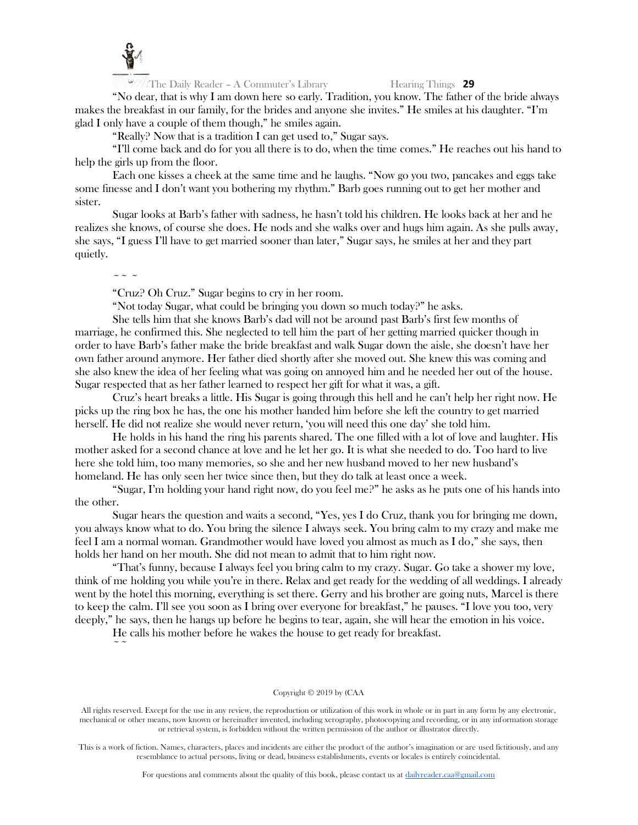![](_page_29_Picture_0.jpeg)

"No dear, that is why I am down here so early. Tradition, you know. The father of the bride always makes the breakfast in our family, for the brides and anyone she invites." He smiles at his daughter. "I'm glad I only have a couple of them though," he smiles again.

"Really? Now that is a tradition I can get used to," Sugar says.

"I'll come back and do for you all there is to do, when the time comes." He reaches out his hand to help the girls up from the floor.

Each one kisses a cheek at the same time and he laughs. "Now go you two, pancakes and eggs take some finesse and I don't want you bothering my rhythm." Barb goes running out to get her mother and sister.

Sugar looks at Barb's father with sadness, he hasn't told his children. He looks back at her and he realizes she knows, of course she does. He nods and she walks over and hugs him again. As she pulls away, she says, "I guess I'll have to get married sooner than later," Sugar says, he smiles at her and they part quietly.

 $\sim$   $\sim$   $\sim$ 

"Cruz? Oh Cruz." Sugar begins to cry in her room.

"Not today Sugar, what could be bringing you down so much today?" he asks.

She tells him that she knows Barb's dad will not be around past Barb's first few months of marriage, he confirmed this. She neglected to tell him the part of her getting married quicker though in order to have Barb's father make the bride breakfast and walk Sugar down the aisle, she doesn't have her own father around anymore. Her father died shortly after she moved out. She knew this was coming and she also knew the idea of her feeling what was going on annoyed him and he needed her out of the house. Sugar respected that as her father learned to respect her gift for what it was, a gift.

Cruz's heart breaks a little. His Sugar is going through this hell and he can't help her right now. He picks up the ring box he has, the one his mother handed him before she left the country to get married herself. He did not realize she would never return, 'you will need this one day' she told him.

He holds in his hand the ring his parents shared. The one filled with a lot of love and laughter. His mother asked for a second chance at love and he let her go. It is what she needed to do. Too hard to live here she told him, too many memories, so she and her new husband moved to her new husband's homeland. He has only seen her twice since then, but they do talk at least once a week.

"Sugar, I'm holding your hand right now, do you feel me?" he asks as he puts one of his hands into the other.

Sugar hears the question and waits a second, "Yes, yes I do Cruz, thank you for bringing me down, you always know what to do. You bring the silence I always seek. You bring calm to my crazy and make me feel I am a normal woman. Grandmother would have loved you almost as much as I do," she says, then holds her hand on her mouth. She did not mean to admit that to him right now.

"That's funny, because I always feel you bring calm to my crazy. Sugar. Go take a shower my love, think of me holding you while you're in there. Relax and get ready for the wedding of all weddings. I already went by the hotel this morning, everything is set there. Gerry and his brother are going nuts, Marcel is there to keep the calm. I'll see you soon as I bring over everyone for breakfast," he pauses. "I love you too, very deeply," he says, then he hangs up before he begins to tear, again, she will hear the emotion in his voice.

He calls his mother before he wakes the house to get ready for breakfast.  $\sim$   $\sim$ 

### Copyright © 2019 by (CAA

All rights reserved. Except for the use in any review, the reproduction or utilization of this work in whole or in part in any form by any electronic, mechanical or other means, now known or hereinafter invented, including xerography, photocopying and recording, or in any information storage or retrieval system, is forbidden without the written permission of the author or illustrator directly.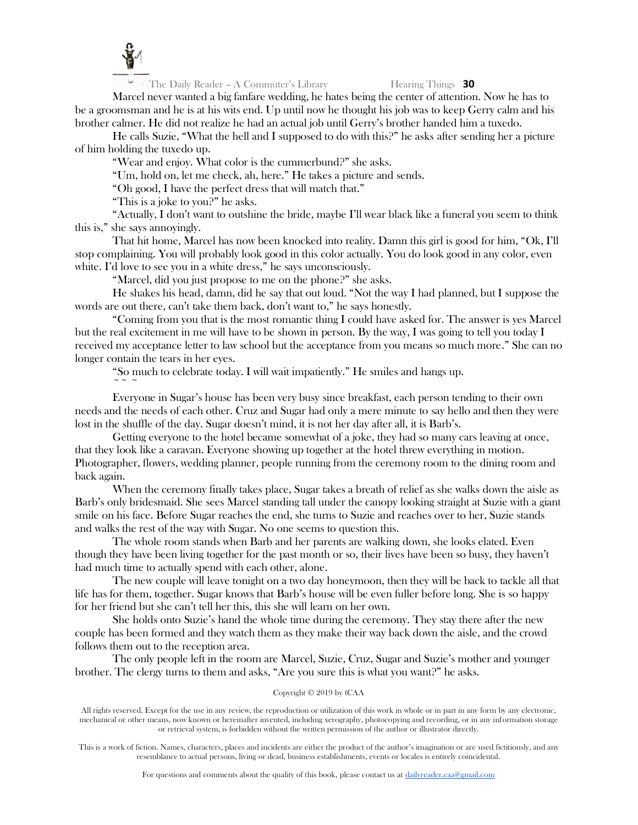![](_page_30_Picture_0.jpeg)

Marcel never wanted a big fanfare wedding, he hates being the center of attention. Now he has to be a groomsman and he is at his wits end. Up until now he thought his job was to keep Gerry calm and his brother calmer. He did not realize he had an actual job until Gerry's brother handed him a tuxedo.

He calls Suzie, "What the hell and I supposed to do with this?" he asks after sending her a picture of him holding the tuxedo up.

"Wear and enjoy. What color is the cummerbund?" she asks.

"Um, hold on, let me check, ah, here." He takes a picture and sends.

"Oh good, I have the perfect dress that will match that."

"This is a joke to you?" he asks.

"Actually, I don't want to outshine the bride, maybe I'll wear black like a funeral you seem to think this is," she says annoyingly.

That hit home, Marcel has now been knocked into reality. Damn this girl is good for him, "Ok, I'll stop complaining. You will probably look good in this color actually. You do look good in any color, even white. I'd love to see you in a white dress," he says unconsciously.

"Marcel, did you just propose to me on the phone?" she asks.

He shakes his head, damn, did he say that out loud. "Not the way I had planned, but I suppose the words are out there, can't take them back, don't want to," he says honestly.

"Coming from you that is the most romantic thing I could have asked for. The answer is yes Marcel but the real excitement in me will have to be shown in person. By the way, I was going to tell you today I received my acceptance letter to law school but the acceptance from you means so much more." She can no longer contain the tears in her eyes.

"So much to celebrate today. I will wait impatiently." He smiles and hangs up.

 $\sim$   $\sim$   $\sim$ 

Everyone in Sugar's house has been very busy since breakfast, each person tending to their own needs and the needs of each other. Cruz and Sugar had only a mere minute to say hello and then they were lost in the shuffle of the day. Sugar doesn't mind, it is not her day after all, it is Barb's.

Getting everyone to the hotel became somewhat of a joke, they had so many cars leaving at once, that they look like a caravan. Everyone showing up together at the hotel threw everything in motion. Photographer, flowers, wedding planner, people running from the ceremony room to the dining room and back again.

When the ceremony finally takes place, Sugar takes a breath of relief as she walks down the aisle as Barb's only bridesmaid. She sees Marcel standing tall under the canopy looking straight at Suzie with a giant smile on his face. Before Sugar reaches the end, she turns to Suzie and reaches over to her, Suzie stands and walks the rest of the way with Sugar. No one seems to question this.

The whole room stands when Barb and her parents are walking down, she looks elated. Even though they have been living together for the past month or so, their lives have been so busy, they haven't had much time to actually spend with each other, alone.

The new couple will leave tonight on a two day honeymoon, then they will be back to tackle all that life has for them, together. Sugar knows that Barb's house will be even fuller before long. She is so happy for her friend but she can't tell her this, this she will learn on her own.

She holds onto Suzie's hand the whole time during the ceremony. They stay there after the new couple has been formed and they watch them as they make their way back down the aisle, and the crowd follows them out to the reception area.

The only people left in the room are Marcel, Suzie, Cruz, Sugar and Suzie's mother and younger brother. The clergy turns to them and asks, "Are you sure this is what you want?" he asks.

# Copyright © 2019 by (CAA

All rights reserved. Except for the use in any review, the reproduction or utilization of this work in whole or in part in any form by any electronic, mechanical or other means, now known or hereinafter invented, including xerography, photocopying and recording, or in any information storage or retrieval system, is forbidden without the written permission of the author or illustrator directly.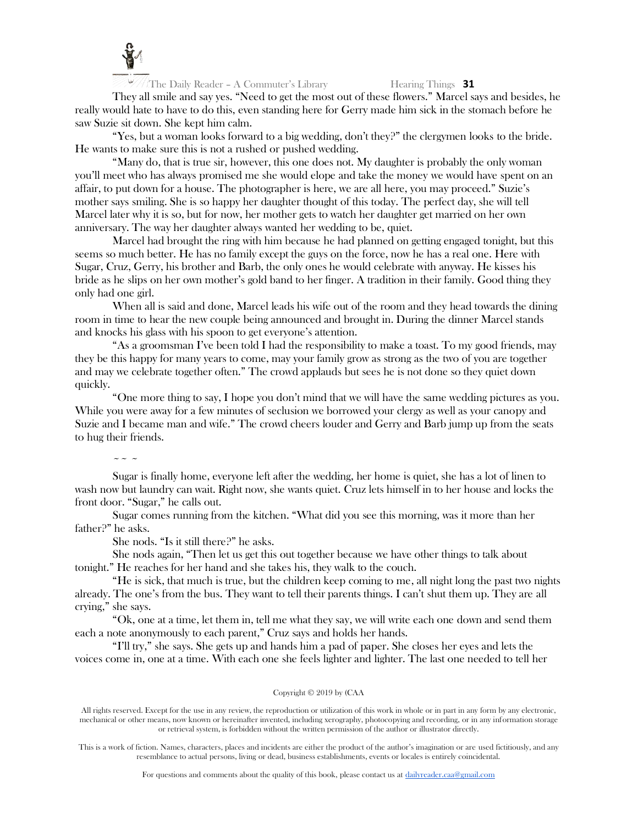![](_page_31_Picture_0.jpeg)

They all smile and say yes. "Need to get the most out of these flowers." Marcel says and besides, he really would hate to have to do this, even standing here for Gerry made him sick in the stomach before he saw Suzie sit down. She kept him calm.

"Yes, but a woman looks forward to a big wedding, don't they?" the clergymen looks to the bride. He wants to make sure this is not a rushed or pushed wedding.

"Many do, that is true sir, however, this one does not. My daughter is probably the only woman you'll meet who has always promised me she would elope and take the money we would have spent on an affair, to put down for a house. The photographer is here, we are all here, you may proceed." Suzie's mother says smiling. She is so happy her daughter thought of this today. The perfect day, she will tell Marcel later why it is so, but for now, her mother gets to watch her daughter get married on her own anniversary. The way her daughter always wanted her wedding to be, quiet.

Marcel had brought the ring with him because he had planned on getting engaged tonight, but this seems so much better. He has no family except the guys on the force, now he has a real one. Here with Sugar, Cruz, Gerry, his brother and Barb, the only ones he would celebrate with anyway. He kisses his bride as he slips on her own mother's gold band to her finger. A tradition in their family. Good thing they only had one girl.

When all is said and done, Marcel leads his wife out of the room and they head towards the dining room in time to hear the new couple being announced and brought in. During the dinner Marcel stands and knocks his glass with his spoon to get everyone's attention.

"As a groomsman I've been told I had the responsibility to make a toast. To my good friends, may they be this happy for many years to come, may your family grow as strong as the two of you are together and may we celebrate together often." The crowd applauds but sees he is not done so they quiet down quickly.

"One more thing to say, I hope you don't mind that we will have the same wedding pictures as you. While you were away for a few minutes of seclusion we borrowed your clergy as well as your canopy and Suzie and I became man and wife." The crowd cheers louder and Gerry and Barb jump up from the seats to hug their friends.

# $\sim$  ~ ~

Sugar is finally home, everyone left after the wedding, her home is quiet, she has a lot of linen to wash now but laundry can wait. Right now, she wants quiet. Cruz lets himself in to her house and locks the front door. "Sugar," he calls out.

Sugar comes running from the kitchen. "What did you see this morning, was it more than her father?" he asks.

She nods. "Is it still there?" he asks.

She nods again, "Then let us get this out together because we have other things to talk about tonight." He reaches for her hand and she takes his, they walk to the couch.

"He is sick, that much is true, but the children keep coming to me, all night long the past two nights already. The one's from the bus. They want to tell their parents things. I can't shut them up. They are all crying," she says.

"Ok, one at a time, let them in, tell me what they say, we will write each one down and send them each a note anonymously to each parent," Cruz says and holds her hands.

"I'll try," she says. She gets up and hands him a pad of paper. She closes her eyes and lets the voices come in, one at a time. With each one she feels lighter and lighter. The last one needed to tell her

### Copyright © 2019 by (CAA

All rights reserved. Except for the use in any review, the reproduction or utilization of this work in whole or in part in any form by any electronic, mechanical or other means, now known or hereinafter invented, including xerography, photocopying and recording, or in any information storage or retrieval system, is forbidden without the written permission of the author or illustrator directly.